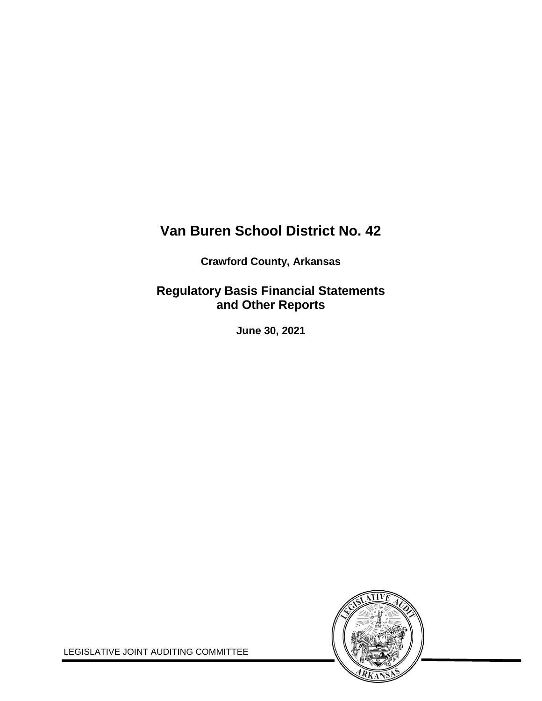# **Van Buren School District No. 42**

**Crawford County, Arkansas**

# **Regulatory Basis Financial Statements and Other Reports**

**June 30, 2021**



LEGISLATIVE JOINT AUDITING COMMITTEE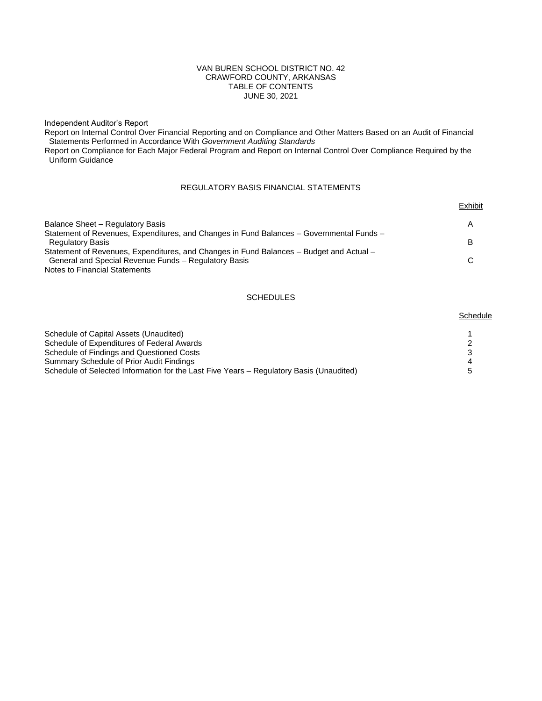# VAN BUREN SCHOOL DISTRICT NO. 42 CRAWFORD COUNTY, ARKANSAS TABLE OF CONTENTS JUNE 30, 2021

Independent Auditor's Report

Report on Internal Control Over Financial Reporting and on Compliance and Other Matters Based on an Audit of Financial Statements Performed in Accordance With *Government Auditing Standards*

Report on Compliance for Each Major Federal Program and Report on Internal Control Over Compliance Required by the Uniform Guidance

# REGULATORY BASIS FINANCIAL STATEMENTS

|                                                                                          | Exhibit |
|------------------------------------------------------------------------------------------|---------|
| Balance Sheet - Regulatory Basis                                                         | Α       |
| Statement of Revenues, Expenditures, and Changes in Fund Balances – Governmental Funds – |         |
| Regulatory Basis                                                                         | В       |
| Statement of Revenues, Expenditures, and Changes in Fund Balances – Budget and Actual –  |         |
| General and Special Revenue Funds - Regulatory Basis                                     |         |
| Notes to Financial Statements                                                            |         |

# **SCHEDULES**

# **Schedule** Schedule of Capital Assets (Unaudited) 1<br>
Schedule of Expenditures of Federal Awards 1996 Schedule of Expenditures of Federal Awards Schedule of Findings and Questioned Costs 3<br>
Summary Schedule of Prior Audit Findings 3<br>
4 Summary Schedule of Prior Audit Findings<br>
Schedule of Selected Information for the Last Five Years – Regulatory Basis (Unaudited) 6 Schedule of Selected Information for the Last Five Years – Regulatory Basis (Unaudited)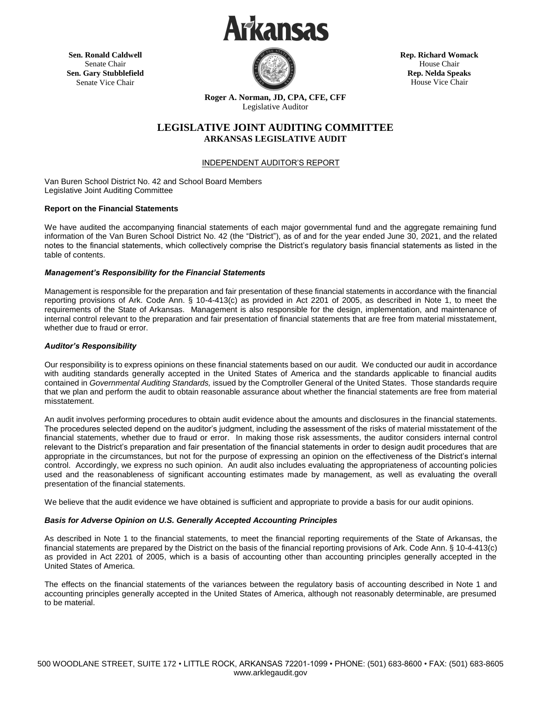**Sen. Ronald Caldwell** Senate Chair **Sen. Gary Stubblefield** Senate Vice Chair





**Rep. Richard Womack** House Chair **Rep. Nelda Speaks** House Vice Chair

**Roger A. Norman, JD, CPA, CFE, CFF** Legislative Auditor

# **LEGISLATIVE JOINT AUDITING COMMITTEE ARKANSAS LEGISLATIVE AUDIT**

# INDEPENDENT AUDITOR'S REPORT

Van Buren School District No. 42 and School Board Members Legislative Joint Auditing Committee

# **Report on the Financial Statements**

We have audited the accompanying financial statements of each major governmental fund and the aggregate remaining fund information of the Van Buren School District No. 42 (the "District"), as of and for the year ended June 30, 2021, and the related notes to the financial statements, which collectively comprise the District's regulatory basis financial statements as listed in the table of contents.

# *Management's Responsibility for the Financial Statements*

Management is responsible for the preparation and fair presentation of these financial statements in accordance with the financial reporting provisions of Ark. Code Ann. § 10-4-413(c) as provided in Act 2201 of 2005, as described in Note 1, to meet the requirements of the State of Arkansas. Management is also responsible for the design, implementation, and maintenance of internal control relevant to the preparation and fair presentation of financial statements that are free from material misstatement, whether due to fraud or error.

# *Auditor's Responsibility*

Our responsibility is to express opinions on these financial statements based on our audit. We conducted our audit in accordance with auditing standards generally accepted in the United States of America and the standards applicable to financial audits contained in *Governmental Auditing Standards,* issued by the Comptroller General of the United States. Those standards require that we plan and perform the audit to obtain reasonable assurance about whether the financial statements are free from material misstatement.

An audit involves performing procedures to obtain audit evidence about the amounts and disclosures in the financial statements. The procedures selected depend on the auditor's judgment, including the assessment of the risks of material misstatement of the financial statements, whether due to fraud or error. In making those risk assessments, the auditor considers internal control relevant to the District's preparation and fair presentation of the financial statements in order to design audit procedures that are appropriate in the circumstances, but not for the purpose of expressing an opinion on the effectiveness of the District's internal control. Accordingly, we express no such opinion. An audit also includes evaluating the appropriateness of accounting policies used and the reasonableness of significant accounting estimates made by management, as well as evaluating the overall presentation of the financial statements.

We believe that the audit evidence we have obtained is sufficient and appropriate to provide a basis for our audit opinions.

# *Basis for Adverse Opinion on U.S. Generally Accepted Accounting Principles*

As described in Note 1 to the financial statements, to meet the financial reporting requirements of the State of Arkansas, the financial statements are prepared by the District on the basis of the financial reporting provisions of Ark. Code Ann. § 10-4-413(c) as provided in Act 2201 of 2005, which is a basis of accounting other than accounting principles generally accepted in the United States of America.

The effects on the financial statements of the variances between the regulatory basis of accounting described in Note 1 and accounting principles generally accepted in the United States of America, although not reasonably determinable, are presumed to be material.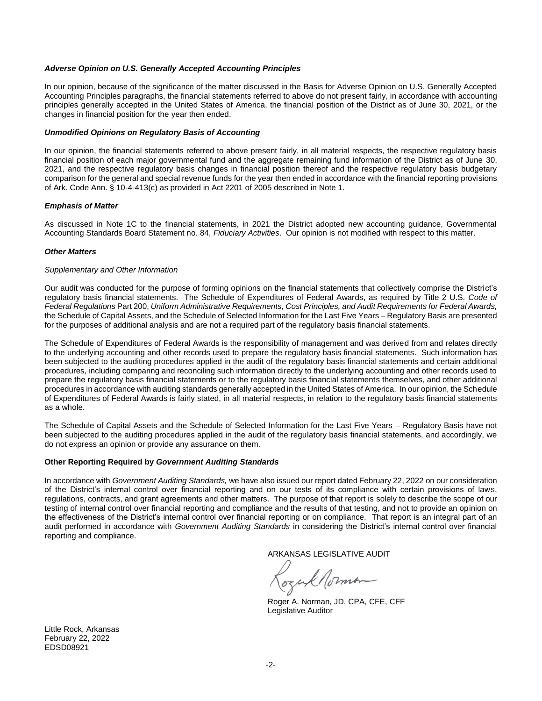# *Adverse Opinion on U.S. Generally Accepted Accounting Principles*

In our opinion, because of the significance of the matter discussed in the Basis for Adverse Opinion on U.S. Generally Accepted Accounting Principles paragraphs, the financial statements referred to above do not present fairly, in accordance with accounting principles generally accepted in the United States of America, the financial position of the District as of June 30, 2021, or the changes in financial position for the year then ended.

#### *Unmodified Opinions on Regulatory Basis of Accounting*

In our opinion, the financial statements referred to above present fairly, in all material respects, the respective regulatory basis financial position of each major governmental fund and the aggregate remaining fund information of the District as of June 30, 2021, and the respective regulatory basis changes in financial position thereof and the respective regulatory basis budgetary comparison for the general and special revenue funds for the year then ended in accordance with the financial reporting provisions of Ark. Code Ann. § 10-4-413(c) as provided in Act 2201 of 2005 described in Note 1.

# *Emphasis of Matter*

As discussed in Note 1C to the financial statements, in 2021 the District adopted new accounting guidance, Governmental Accounting Standards Board Statement no. 84, *Fiduciary Activities*. Our opinion is not modified with respect to this matter.

# *Other Matters*

# *Supplementary and Other Information*

Our audit was conducted for the purpose of forming opinions on the financial statements that collectively comprise the District's regulatory basis financial statements. The Schedule of Expenditures of Federal Awards, as required by Title 2 U.S. *Code of Federal Regulations* Part 200, *Uniform Administrative Requirements, Cost Principles, and Audit Requirements for Federal Awards,*  the Schedule of Capital Assets, and the Schedule of Selected Information for the Last Five Years – Regulatory Basis are presented for the purposes of additional analysis and are not a required part of the regulatory basis financial statements.

The Schedule of Expenditures of Federal Awards is the responsibility of management and was derived from and relates directly to the underlying accounting and other records used to prepare the regulatory basis financial statements. Such information has been subjected to the auditing procedures applied in the audit of the regulatory basis financial statements and certain additional procedures, including comparing and reconciling such information directly to the underlying accounting and other records used to prepare the regulatory basis financial statements or to the regulatory basis financial statements themselves, and other additional procedures in accordance with auditing standards generally accepted in the United States of America. In our opinion, the Schedule of Expenditures of Federal Awards is fairly stated, in all material respects, in relation to the regulatory basis financial statements as a whole.

The Schedule of Capital Assets and the Schedule of Selected Information for the Last Five Years – Regulatory Basis have not been subjected to the auditing procedures applied in the audit of the regulatory basis financial statements, and accordingly, we do not express an opinion or provide any assurance on them.

#### **Other Reporting Required by** *Government Auditing Standards*

In accordance with *Government Auditing Standards,* we have also issued our report dated February 22, 2022 on our consideration of the District's internal control over financial reporting and on our tests of its compliance with certain provisions of laws, regulations, contracts, and grant agreements and other matters. The purpose of that report is solely to describe the scope of our testing of internal control over financial reporting and compliance and the results of that testing, and not to provide an opinion on the effectiveness of the District's internal control over financial reporting or on compliance. That report is an integral part of an audit performed in accordance with *Government Auditing Standards* in considering the District's internal control over financial reporting and compliance.

ARKANSAS LEGISLATIVE AUDIT

Kozuk Norman

Roger A. Norman, JD, CPA, CFE, CFF Legislative Auditor

Little Rock, Arkansas February 22, 2022 EDSD08921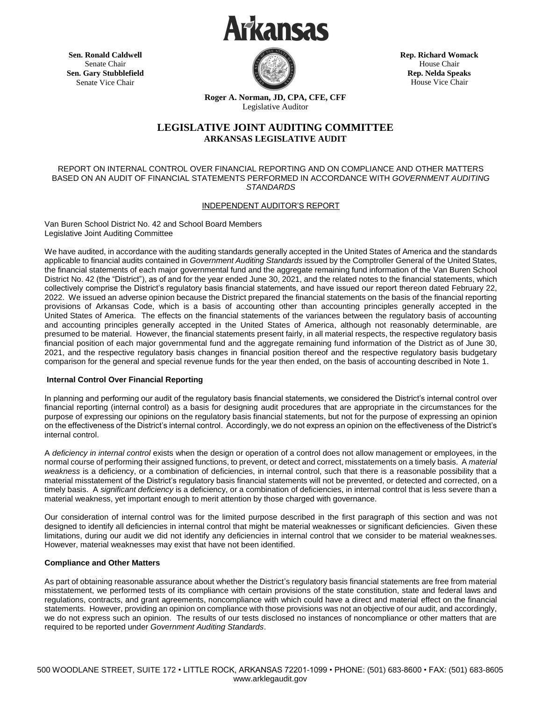

**Sen. Ronald Caldwell** Senate Chair **Sen. Gary Stubblefield** Senate Vice Chair

**Rep. Richard Womack** House Chair **Rep. Nelda Speaks** House Vice Chair

**Roger A. Norman, JD, CPA, CFE, CFF** Legislative Auditor

# **LEGISLATIVE JOINT AUDITING COMMITTEE ARKANSAS LEGISLATIVE AUDIT**

#### REPORT ON INTERNAL CONTROL OVER FINANCIAL REPORTING AND ON COMPLIANCE AND OTHER MATTERS BASED ON AN AUDIT OF FINANCIAL STATEMENTS PERFORMED IN ACCORDANCE WITH *GOVERNMENT AUDITING STANDARDS*

# INDEPENDENT AUDITOR'S REPORT

Van Buren School District No. 42 and School Board Members Legislative Joint Auditing Committee

We have audited, in accordance with the auditing standards generally accepted in the United States of America and the standards applicable to financial audits contained in *Government Auditing Standards* issued by the Comptroller General of the United States, the financial statements of each major governmental fund and the aggregate remaining fund information of the Van Buren School District No. 42 (the "District"), as of and for the year ended June 30, 2021, and the related notes to the financial statements, which collectively comprise the District's regulatory basis financial statements, and have issued our report thereon dated February 22, 2022. We issued an adverse opinion because the District prepared the financial statements on the basis of the financial reporting provisions of Arkansas Code, which is a basis of accounting other than accounting principles generally accepted in the United States of America. The effects on the financial statements of the variances between the regulatory basis of accounting and accounting principles generally accepted in the United States of America, although not reasonably determinable, are presumed to be material. However, the financial statements present fairly, in all material respects, the respective regulatory basis financial position of each major governmental fund and the aggregate remaining fund information of the District as of June 30, 2021, and the respective regulatory basis changes in financial position thereof and the respective regulatory basis budgetary comparison for the general and special revenue funds for the year then ended, on the basis of accounting described in Note 1.

# **Internal Control Over Financial Reporting**

In planning and performing our audit of the regulatory basis financial statements, we considered the District's internal control over financial reporting (internal control) as a basis for designing audit procedures that are appropriate in the circumstances for the purpose of expressing our opinions on the regulatory basis financial statements, but not for the purpose of expressing an opinion on the effectiveness of the District's internal control. Accordingly, we do not express an opinion on the effectiveness of the District's internal control.

A *deficiency in internal control* exists when the design or operation of a control does not allow management or employees, in the normal course of performing their assigned functions, to prevent, or detect and correct, misstatements on a timely basis. A *material weakness* is a deficiency, or a combination of deficiencies, in internal control, such that there is a reasonable possibility that a material misstatement of the District's regulatory basis financial statements will not be prevented, or detected and corrected, on a timely basis. A *significant deficiency* is a deficiency, or a combination of deficiencies, in internal control that is less severe than a material weakness, yet important enough to merit attention by those charged with governance.

Our consideration of internal control was for the limited purpose described in the first paragraph of this section and was not designed to identify all deficiencies in internal control that might be material weaknesses or significant deficiencies. Given these limitations, during our audit we did not identify any deficiencies in internal control that we consider to be material weaknesses. However, material weaknesses may exist that have not been identified.

# **Compliance and Other Matters**

As part of obtaining reasonable assurance about whether the District's regulatory basis financial statements are free from material misstatement, we performed tests of its compliance with certain provisions of the state constitution, state and federal laws and regulations, contracts, and grant agreements, noncompliance with which could have a direct and material effect on the financial statements. However, providing an opinion on compliance with those provisions was not an objective of our audit, and accordingly, we do not express such an opinion. The results of our tests disclosed no instances of noncompliance or other matters that are required to be reported under *Government Auditing Standards*.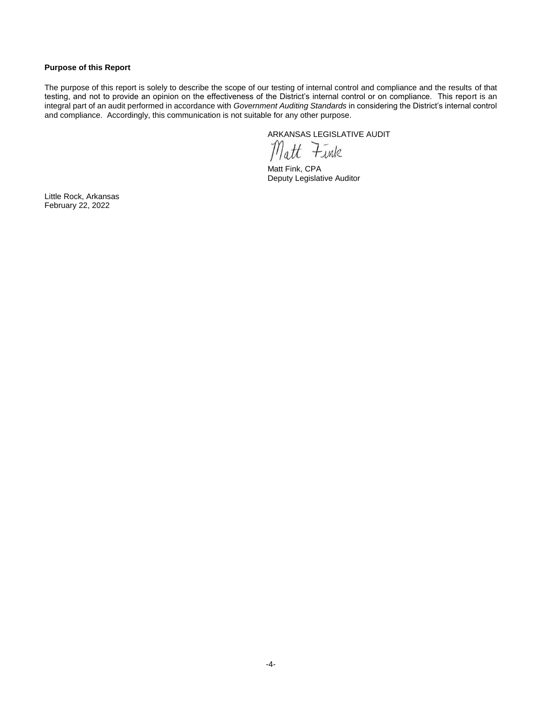# **Purpose of this Report**

The purpose of this report is solely to describe the scope of our testing of internal control and compliance and the results of that testing, and not to provide an opinion on the effectiveness of the District's internal control or on compliance. This report is an integral part of an audit performed in accordance with *Government Auditing Standards* in considering the District's internal control and compliance. Accordingly, this communication is not suitable for any other purpose.

ARKANSAS LEGISLATIVE AUDIT

Matt Finle

Matt Fink, CPA Deputy Legislative Auditor

Little Rock, Arkansas February 22, 2022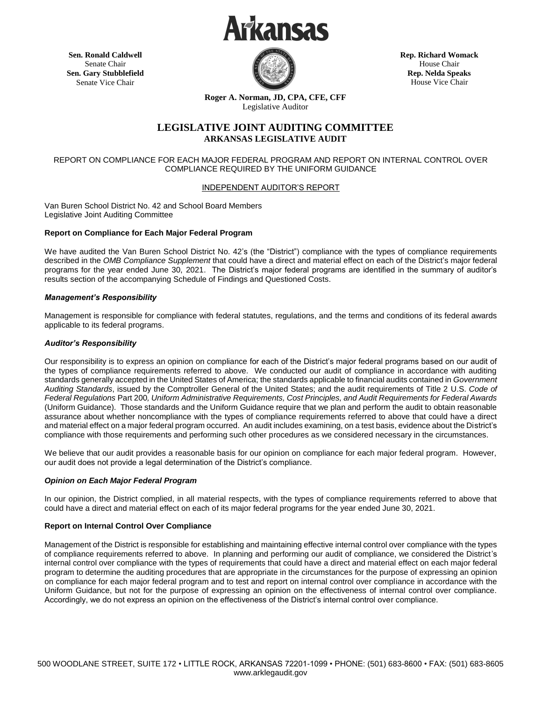

**Sen. Ronald Caldwell** Senate Chair **Sen. Gary Stubblefield** Senate Vice Chair

**Rep. Richard Womack** House Chair **Rep. Nelda Speaks** House Vice Chair

**Roger A. Norman, JD, CPA, CFE, CFF** Legislative Auditor

# **LEGISLATIVE JOINT AUDITING COMMITTEE ARKANSAS LEGISLATIVE AUDIT**

# REPORT ON COMPLIANCE FOR EACH MAJOR FEDERAL PROGRAM AND REPORT ON INTERNAL CONTROL OVER COMPLIANCE REQUIRED BY THE UNIFORM GUIDANCE

# INDEPENDENT AUDITOR'S REPORT

Van Buren School District No. 42 and School Board Members Legislative Joint Auditing Committee

# **Report on Compliance for Each Major Federal Program**

We have audited the Van Buren School District No. 42's (the "District") compliance with the types of compliance requirements described in the *OMB Compliance Supplement* that could have a direct and material effect on each of the District's major federal programs for the year ended June 30, 2021. The District's major federal programs are identified in the summary of auditor's results section of the accompanying Schedule of Findings and Questioned Costs.

# *Management's Responsibility*

Management is responsible for compliance with federal statutes, regulations, and the terms and conditions of its federal awards applicable to its federal programs.

# *Auditor's Responsibility*

Our responsibility is to express an opinion on compliance for each of the District's major federal programs based on our audit of the types of compliance requirements referred to above. We conducted our audit of compliance in accordance with auditing standards generally accepted in the United States of America; the standards applicable to financial audits contained in *Government Auditing Standards*, issued by the Comptroller General of the United States; and the audit requirements of Title 2 U.S. *Code of Federal Regulations* Part 200*, Uniform Administrative Requirements, Cost Principles, and Audit Requirements for Federal Awards* (Uniform Guidance). Those standards and the Uniform Guidance require that we plan and perform the audit to obtain reasonable assurance about whether noncompliance with the types of compliance requirements referred to above that could have a direct and material effect on a major federal program occurred. An audit includes examining, on a test basis, evidence about the District's compliance with those requirements and performing such other procedures as we considered necessary in the circumstances.

We believe that our audit provides a reasonable basis for our opinion on compliance for each major federal program. However, our audit does not provide a legal determination of the District's compliance.

# *Opinion on Each Major Federal Program*

In our opinion, the District complied, in all material respects, with the types of compliance requirements referred to above that could have a direct and material effect on each of its major federal programs for the year ended June 30, 2021.

# **Report on Internal Control Over Compliance**

Management of the District is responsible for establishing and maintaining effective internal control over compliance with the types of compliance requirements referred to above. In planning and performing our audit of compliance, we considered the District's internal control over compliance with the types of requirements that could have a direct and material effect on each major federal program to determine the auditing procedures that are appropriate in the circumstances for the purpose of expressing an opinion on compliance for each major federal program and to test and report on internal control over compliance in accordance with the Uniform Guidance, but not for the purpose of expressing an opinion on the effectiveness of internal control over compliance. Accordingly, we do not express an opinion on the effectiveness of the District's internal control over compliance.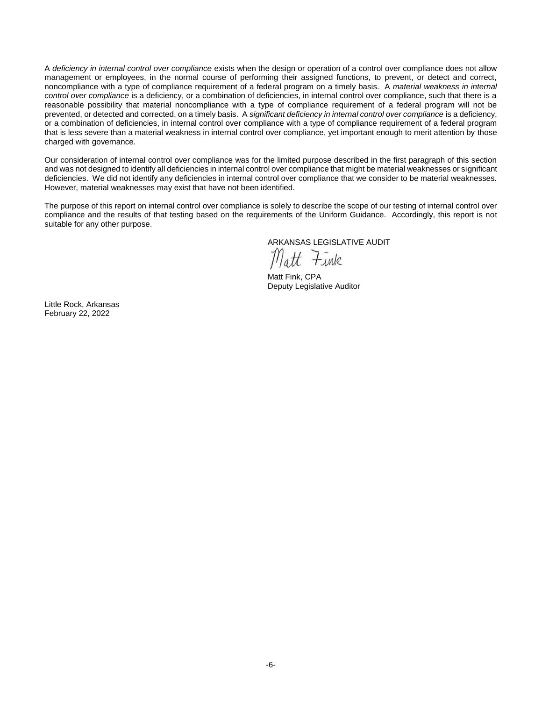A *deficiency in internal control over compliance* exists when the design or operation of a control over compliance does not allow management or employees, in the normal course of performing their assigned functions, to prevent, or detect and correct, noncompliance with a type of compliance requirement of a federal program on a timely basis. A *material weakness in internal control over compliance* is a deficiency, or a combination of deficiencies, in internal control over compliance, such that there is a reasonable possibility that material noncompliance with a type of compliance requirement of a federal program will not be prevented, or detected and corrected, on a timely basis. A *significant deficiency in internal control over compliance* is a deficiency, or a combination of deficiencies, in internal control over compliance with a type of compliance requirement of a federal program that is less severe than a material weakness in internal control over compliance, yet important enough to merit attention by those charged with governance.

Our consideration of internal control over compliance was for the limited purpose described in the first paragraph of this section and was not designed to identify all deficiencies in internal control over compliance that might be material weaknesses or significant deficiencies. We did not identify any deficiencies in internal control over compliance that we consider to be material weaknesses. However, material weaknesses may exist that have not been identified.

The purpose of this report on internal control over compliance is solely to describe the scope of our testing of internal control over compliance and the results of that testing based on the requirements of the Uniform Guidance. Accordingly, this report is not suitable for any other purpose.

ARKANSAS LEGISLATIVE AUDIT

Matt Finle

Matt Fink, CPA Deputy Legislative Auditor

Little Rock, Arkansas February 22, 2022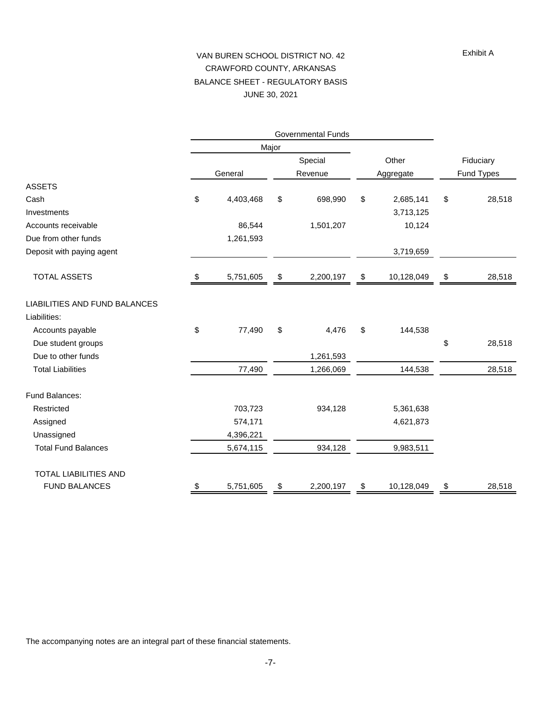# VAN BUREN SCHOOL DISTRICT NO. 42 CRAWFORD COUNTY, ARKANSAS BALANCE SHEET - REGULATORY BASIS JUNE 30, 2021

|                               |                 | Major |           |       |            |            |        |
|-------------------------------|-----------------|-------|-----------|-------|------------|------------|--------|
|                               |                 |       | Special   | Other |            | Fiduciary  |        |
|                               | General         |       | Revenue   |       | Aggregate  | Fund Types |        |
| <b>ASSETS</b>                 |                 |       |           |       |            |            |        |
| Cash                          | \$<br>4,403,468 | \$    | 698,990   | \$    | 2,685,141  | \$         | 28,518 |
| Investments                   |                 |       |           |       | 3,713,125  |            |        |
| Accounts receivable           | 86,544          |       | 1,501,207 |       | 10,124     |            |        |
| Due from other funds          | 1,261,593       |       |           |       |            |            |        |
| Deposit with paying agent     |                 |       |           |       | 3,719,659  |            |        |
| <b>TOTAL ASSETS</b>           | \$<br>5,751,605 | \$    | 2,200,197 | \$    | 10,128,049 | \$         | 28,518 |
| LIABILITIES AND FUND BALANCES |                 |       |           |       |            |            |        |
| Liabilities:                  |                 |       |           |       |            |            |        |
| Accounts payable              | \$<br>77,490    | \$    | 4,476     | \$    | 144,538    |            |        |
| Due student groups            |                 |       |           |       |            | \$         | 28,518 |
| Due to other funds            |                 |       | 1,261,593 |       |            |            |        |
| <b>Total Liabilities</b>      | 77,490          |       | 1,266,069 |       | 144,538    |            | 28,518 |
| Fund Balances:                |                 |       |           |       |            |            |        |
| Restricted                    | 703,723         |       | 934,128   |       | 5,361,638  |            |        |
| Assigned                      | 574,171         |       |           |       | 4,621,873  |            |        |
| Unassigned                    | 4,396,221       |       |           |       |            |            |        |
| <b>Total Fund Balances</b>    | 5,674,115       |       | 934,128   |       | 9,983,511  |            |        |
| TOTAL LIABILITIES AND         |                 |       |           |       |            |            |        |
| <b>FUND BALANCES</b>          | \$<br>5,751,605 | \$    | 2,200,197 | \$    | 10,128,049 | \$         | 28,518 |

The accompanying notes are an integral part of these financial statements.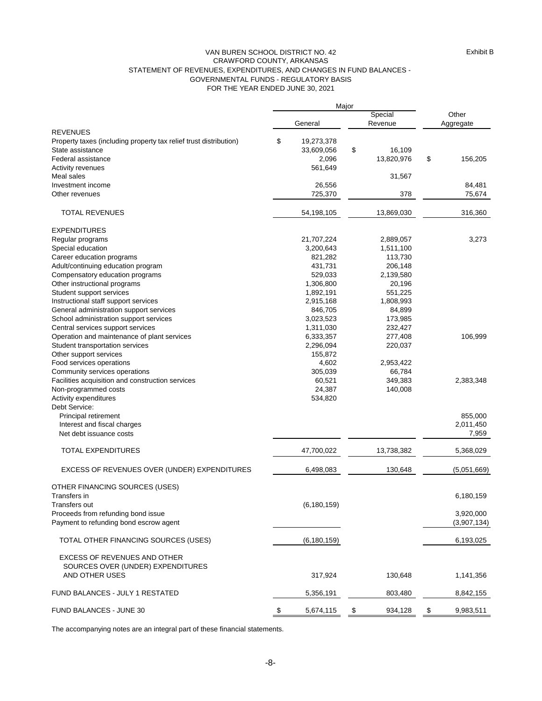# GOVERNMENTAL FUNDS - REGULATORY BASIS FOR THE YEAR ENDED JUNE 30, 2021 VAN BUREN SCHOOL DISTRICT NO. 42 CRAWFORD COUNTY, ARKANSAS STATEMENT OF REVENUES, EXPENDITURES, AND CHANGES IN FUND BALANCES -

|                                                                                   | Major |                      |    |                    |    |                    |
|-----------------------------------------------------------------------------------|-------|----------------------|----|--------------------|----|--------------------|
|                                                                                   |       | General              |    | Special<br>Revenue |    | Other<br>Aggregate |
| <b>REVENUES</b>                                                                   |       |                      |    |                    |    |                    |
| Property taxes (including property tax relief trust distribution)                 | \$    | 19,273,378           |    |                    |    |                    |
| State assistance                                                                  |       | 33,609,056           | \$ | 16,109             |    |                    |
| Federal assistance                                                                |       | 2,096                |    | 13,820,976         | \$ | 156,205            |
| <b>Activity revenues</b>                                                          |       | 561,649              |    |                    |    |                    |
| Meal sales                                                                        |       |                      |    | 31,567             |    |                    |
| Investment income                                                                 |       | 26,556               |    |                    |    | 84,481             |
| Other revenues                                                                    |       | 725,370              |    | 378                |    | 75,674             |
| TOTAL REVENUES                                                                    |       | 54,198,105           |    | 13,869,030         |    | 316,360            |
| <b>EXPENDITURES</b>                                                               |       |                      |    |                    |    |                    |
| Regular programs                                                                  |       | 21,707,224           |    | 2,889,057          |    | 3,273              |
| Special education                                                                 |       | 3,200,643            |    | 1,511,100          |    |                    |
| Career education programs                                                         |       | 821,282              |    | 113,730            |    |                    |
| Adult/continuing education program                                                |       | 431,731              |    | 206,148            |    |                    |
| Compensatory education programs                                                   |       | 529,033              |    | 2,139,580          |    |                    |
| Other instructional programs                                                      |       | 1,306,800            |    | 20,196             |    |                    |
| Student support services                                                          |       | 1,892,191            |    | 551,225            |    |                    |
| Instructional staff support services                                              |       | 2,915,168            |    | 1,808,993          |    |                    |
| General administration support services                                           |       | 846,705              |    | 84,899             |    |                    |
| School administration support services                                            |       | 3,023,523            |    | 173,985            |    |                    |
| Central services support services                                                 |       | 1,311,030            |    | 232,427            |    |                    |
| Operation and maintenance of plant services                                       |       | 6,333,357            |    | 277,408            |    | 106,999            |
| Student transportation services<br>Other support services                         |       | 2,296,094<br>155,872 |    | 220,037            |    |                    |
| Food services operations                                                          |       | 4,602                |    | 2,953,422          |    |                    |
|                                                                                   |       |                      |    |                    |    |                    |
| Community services operations<br>Facilities acquisition and construction services |       | 305,039<br>60,521    |    | 66,784<br>349,383  |    | 2,383,348          |
|                                                                                   |       | 24,387               |    |                    |    |                    |
| Non-programmed costs<br>Activity expenditures                                     |       | 534,820              |    | 140,008            |    |                    |
| Debt Service:                                                                     |       |                      |    |                    |    |                    |
| Principal retirement                                                              |       |                      |    |                    |    | 855,000            |
| Interest and fiscal charges                                                       |       |                      |    |                    |    | 2,011,450          |
| Net debt issuance costs                                                           |       |                      |    |                    |    | 7,959              |
| TOTAL EXPENDITURES                                                                |       | 47,700,022           |    | 13,738,382         |    | 5,368,029          |
| EXCESS OF REVENUES OVER (UNDER) EXPENDITURES                                      |       | 6,498,083            |    | 130,648            |    | (5,051,669)        |
| OTHER FINANCING SOURCES (USES)                                                    |       |                      |    |                    |    |                    |
| Transfers in                                                                      |       |                      |    |                    |    | 6,180,159          |
| Transfers out                                                                     |       | (6, 180, 159)        |    |                    |    |                    |
| Proceeds from refunding bond issue                                                |       |                      |    |                    |    | 3,920,000          |
| Payment to refunding bond escrow agent                                            |       |                      |    |                    |    | (3,907,134)        |
| TOTAL OTHER FINANCING SOURCES (USES)                                              |       | (6, 180, 159)        |    |                    |    | 6,193,025          |
| <b>EXCESS OF REVENUES AND OTHER</b>                                               |       |                      |    |                    |    |                    |
| SOURCES OVER (UNDER) EXPENDITURES                                                 |       |                      |    |                    |    |                    |
| AND OTHER USES                                                                    |       | 317,924              |    | 130,648            |    | 1,141,356          |
|                                                                                   |       |                      |    |                    |    |                    |
| FUND BALANCES - JULY 1 RESTATED                                                   |       | 5,356,191            |    | 803,480            |    | 8,842,155          |
| FUND BALANCES - JUNE 30                                                           | \$    | 5,674,115            | \$ | 934,128            | \$ | 9,983,511          |

The accompanying notes are an integral part of these financial statements.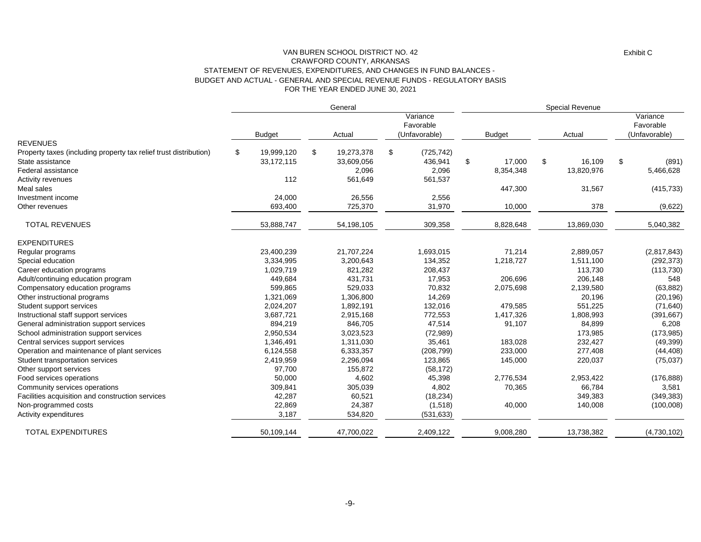#### FOR THE YEAR ENDED JUNE 30, 2021 VAN BUREN SCHOOL DISTRICT NO. 42 CRAWFORD COUNTY, ARKANSAS STATEMENT OF REVENUES, EXPENDITURES, AND CHANGES IN FUND BALANCES - BUDGET AND ACTUAL - GENERAL AND SPECIAL REVENUE FUNDS - REGULATORY BASIS

|                                                                   | General       |            |        |            |    |                                        | Special Revenue |               |    |            |    |                                        |
|-------------------------------------------------------------------|---------------|------------|--------|------------|----|----------------------------------------|-----------------|---------------|----|------------|----|----------------------------------------|
|                                                                   | <b>Budget</b> |            | Actual |            |    | Variance<br>Favorable<br>(Unfavorable) |                 | <b>Budget</b> |    | Actual     |    | Variance<br>Favorable<br>(Unfavorable) |
| <b>REVENUES</b>                                                   |               |            |        |            |    |                                        |                 |               |    |            |    |                                        |
| Property taxes (including property tax relief trust distribution) | \$            | 19,999,120 | \$     | 19,273,378 | \$ | (725, 742)                             |                 |               |    |            |    |                                        |
| State assistance                                                  |               | 33,172,115 |        | 33,609,056 |    | 436,941                                | \$              | 17,000        | \$ | 16,109     | \$ | (891)                                  |
| Federal assistance                                                |               |            |        | 2,096      |    | 2,096                                  |                 | 8,354,348     |    | 13,820,976 |    | 5,466,628                              |
| Activity revenues                                                 |               | 112        |        | 561,649    |    | 561,537                                |                 |               |    |            |    |                                        |
| Meal sales                                                        |               |            |        |            |    |                                        |                 | 447,300       |    | 31,567     |    | (415, 733)                             |
| Investment income                                                 |               | 24,000     |        | 26,556     |    | 2,556                                  |                 |               |    |            |    |                                        |
| Other revenues                                                    |               | 693,400    |        | 725,370    |    | 31,970                                 |                 | 10,000        |    | 378        |    | (9,622)                                |
| <b>TOTAL REVENUES</b>                                             |               | 53,888,747 |        | 54,198,105 |    | 309,358                                |                 | 8,828,648     |    | 13,869,030 |    | 5,040,382                              |
| <b>EXPENDITURES</b>                                               |               |            |        |            |    |                                        |                 |               |    |            |    |                                        |
| Regular programs                                                  |               | 23,400,239 |        | 21,707,224 |    | 1,693,015                              |                 | 71,214        |    | 2,889,057  |    | (2,817,843)                            |
| Special education                                                 |               | 3,334,995  |        | 3,200,643  |    | 134,352                                |                 | 1,218,727     |    | 1,511,100  |    | (292, 373)                             |
| Career education programs                                         |               | 1,029,719  |        | 821,282    |    | 208,437                                |                 |               |    | 113,730    |    | (113, 730)                             |
| Adult/continuing education program                                |               | 449,684    |        | 431,731    |    | 17,953                                 |                 | 206,696       |    | 206,148    |    | 548                                    |
| Compensatory education programs                                   |               | 599,865    |        | 529,033    |    | 70,832                                 |                 | 2,075,698     |    | 2,139,580  |    | (63, 882)                              |
| Other instructional programs                                      |               | 1,321,069  |        | 1,306,800  |    | 14,269                                 |                 |               |    | 20,196     |    | (20, 196)                              |
| Student support services                                          |               | 2,024,207  |        | 1,892,191  |    | 132,016                                |                 | 479,585       |    | 551,225    |    | (71, 640)                              |
| Instructional staff support services                              |               | 3,687,721  |        | 2,915,168  |    | 772,553                                |                 | 1,417,326     |    | 1,808,993  |    | (391, 667)                             |
| General administration support services                           |               | 894,219    |        | 846,705    |    | 47,514                                 |                 | 91,107        |    | 84,899     |    | 6,208                                  |
| School administration support services                            |               | 2,950,534  |        | 3,023,523  |    | (72, 989)                              |                 |               |    | 173,985    |    | (173, 985)                             |
| Central services support services                                 |               | 1,346,491  |        | 1,311,030  |    | 35,461                                 |                 | 183,028       |    | 232,427    |    | (49, 399)                              |
| Operation and maintenance of plant services                       |               | 6,124,558  |        | 6,333,357  |    | (208, 799)                             |                 | 233,000       |    | 277,408    |    | (44, 408)                              |
| Student transportation services                                   |               | 2,419,959  |        | 2,296,094  |    | 123,865                                |                 | 145,000       |    | 220,037    |    | (75, 037)                              |
| Other support services                                            |               | 97,700     |        | 155,872    |    | (58, 172)                              |                 |               |    |            |    |                                        |
| Food services operations                                          |               | 50,000     |        | 4,602      |    | 45,398                                 |                 | 2,776,534     |    | 2,953,422  |    | (176, 888)                             |
| Community services operations                                     |               | 309,841    |        | 305,039    |    | 4,802                                  |                 | 70,365        |    | 66,784     |    | 3,581                                  |
| Facilities acquisition and construction services                  |               | 42,287     |        | 60,521     |    | (18, 234)                              |                 |               |    | 349,383    |    | (349, 383)                             |
| Non-programmed costs                                              |               | 22,869     |        | 24,387     |    | (1,518)                                |                 | 40,000        |    | 140,008    |    | (100,008)                              |
| Activity expenditures                                             |               | 3,187      |        | 534,820    |    | (531, 633)                             |                 |               |    |            |    |                                        |
| <b>TOTAL EXPENDITURES</b>                                         |               | 50,109,144 |        | 47,700,022 |    | 2,409,122                              |                 | 9,008,280     |    | 13,738,382 |    | (4,730,102)                            |
|                                                                   |               |            |        |            |    |                                        |                 |               |    |            |    |                                        |

Exhibit C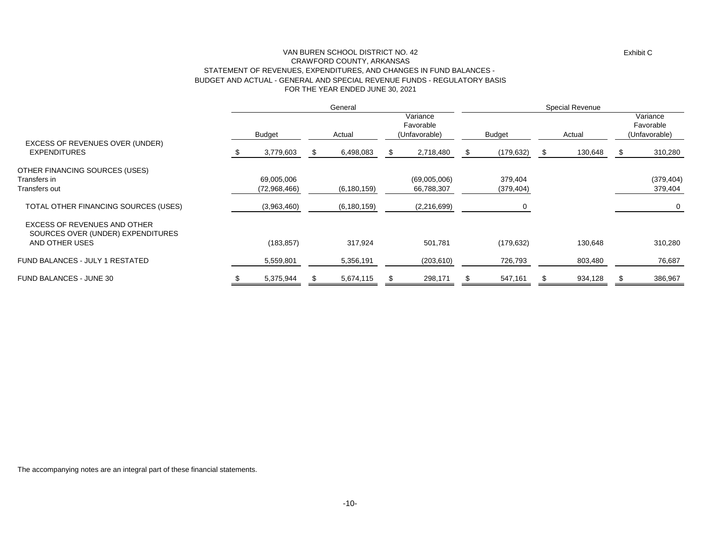# FOR THE YEAR ENDED JUNE 30, 2021 VAN BUREN SCHOOL DISTRICT NO. 42 CRAWFORD COUNTY, ARKANSAS STATEMENT OF REVENUES, EXPENDITURES, AND CHANGES IN FUND BALANCES - BUDGET AND ACTUAL - GENERAL AND SPECIAL REVENUE FUNDS - REGULATORY BASIS

|                                                                                            |        | General                    |        |               |    |                                        |     | Special Revenue       |      |         |     |                                        |  |
|--------------------------------------------------------------------------------------------|--------|----------------------------|--------|---------------|----|----------------------------------------|-----|-----------------------|------|---------|-----|----------------------------------------|--|
|                                                                                            | Budget |                            | Actual |               |    | Variance<br>Favorable<br>(Unfavorable) |     | <b>Budget</b>         |      | Actual  |     | Variance<br>Favorable<br>(Unfavorable) |  |
| <b>EXCESS OF REVENUES OVER (UNDER)</b><br><b>EXPENDITURES</b>                              |        | 3,779,603                  |        | 6,498,083     | S. | 2,718,480                              |     | (179, 632)            | - \$ | 130,648 |     | 310,280                                |  |
| OTHER FINANCING SOURCES (USES)<br>Transfers in<br>Transfers out                            |        | 69,005,006<br>(72,968,466) |        | (6, 180, 159) |    | (69,005,006)<br>66,788,307             |     | 379,404<br>(379, 404) |      |         |     | (379, 404)<br>379,404                  |  |
| TOTAL OTHER FINANCING SOURCES (USES)                                                       |        | (3,963,460)                |        | (6, 180, 159) |    | (2,216,699)                            |     |                       |      |         |     | $\overline{0}$                         |  |
| <b>EXCESS OF REVENUES AND OTHER</b><br>SOURCES OVER (UNDER) EXPENDITURES<br>AND OTHER USES |        | (183, 857)                 |        | 317,924       |    | 501,781                                |     | (179, 632)            |      | 130,648 |     | 310,280                                |  |
| FUND BALANCES - JULY 1 RESTATED                                                            |        | 5,559,801                  |        | 5,356,191     |    | (203, 610)                             |     | 726,793               |      | 803,480 |     | 76,687                                 |  |
| FUND BALANCES - JUNE 30                                                                    |        | 5,375,944                  |        | 5,674,115     | S  | 298,171                                | \$. | 547,161               |      | 934,128 | \$. | 386,967                                |  |

The accompanying notes are an integral part of these financial statements.

-10-

Exhibit C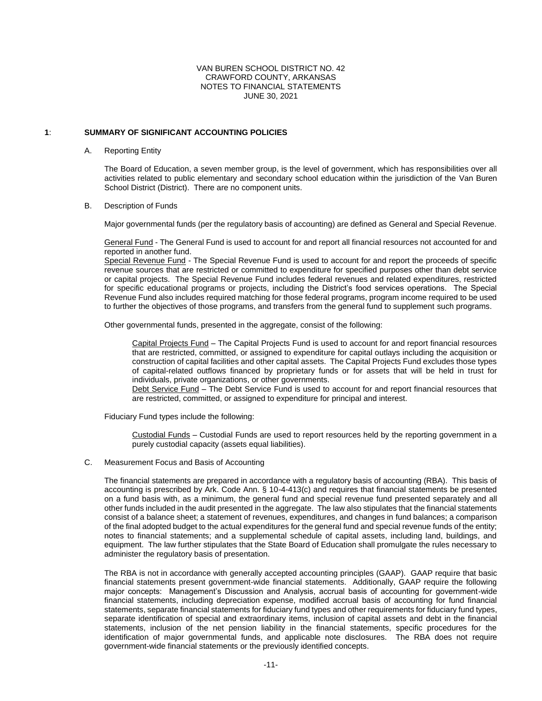# **1**: **SUMMARY OF SIGNIFICANT ACCOUNTING POLICIES**

# A. Reporting Entity

The Board of Education, a seven member group, is the level of government, which has responsibilities over all activities related to public elementary and secondary school education within the jurisdiction of the Van Buren School District (District). There are no component units.

B. Description of Funds

Major governmental funds (per the regulatory basis of accounting) are defined as General and Special Revenue.

General Fund - The General Fund is used to account for and report all financial resources not accounted for and reported in another fund.

Special Revenue Fund - The Special Revenue Fund is used to account for and report the proceeds of specific revenue sources that are restricted or committed to expenditure for specified purposes other than debt service or capital projects. The Special Revenue Fund includes federal revenues and related expenditures, restricted for specific educational programs or projects, including the District's food services operations. The Special Revenue Fund also includes required matching for those federal programs, program income required to be used to further the objectives of those programs, and transfers from the general fund to supplement such programs.

Other governmental funds, presented in the aggregate, consist of the following:

Capital Projects Fund – The Capital Projects Fund is used to account for and report financial resources that are restricted, committed, or assigned to expenditure for capital outlays including the acquisition or construction of capital facilities and other capital assets. The Capital Projects Fund excludes those types of capital-related outflows financed by proprietary funds or for assets that will be held in trust for individuals, private organizations, or other governments.

Debt Service Fund – The Debt Service Fund is used to account for and report financial resources that are restricted, committed, or assigned to expenditure for principal and interest.

Fiduciary Fund types include the following:

Custodial Funds – Custodial Funds are used to report resources held by the reporting government in a purely custodial capacity (assets equal liabilities).

C. Measurement Focus and Basis of Accounting

The financial statements are prepared in accordance with a regulatory basis of accounting (RBA). This basis of accounting is prescribed by Ark. Code Ann. § 10-4-413(c) and requires that financial statements be presented on a fund basis with, as a minimum, the general fund and special revenue fund presented separately and all other funds included in the audit presented in the aggregate. The law also stipulates that the financial statements consist of a balance sheet; a statement of revenues, expenditures, and changes in fund balances; a comparison of the final adopted budget to the actual expenditures for the general fund and special revenue funds of the entity; notes to financial statements; and a supplemental schedule of capital assets, including land, buildings, and equipment. The law further stipulates that the State Board of Education shall promulgate the rules necessary to administer the regulatory basis of presentation.

The RBA is not in accordance with generally accepted accounting principles (GAAP). GAAP require that basic financial statements present government-wide financial statements. Additionally, GAAP require the following major concepts: Management's Discussion and Analysis, accrual basis of accounting for government-wide financial statements, including depreciation expense, modified accrual basis of accounting for fund financial statements, separate financial statements for fiduciary fund types and other requirements for fiduciary fund types, separate identification of special and extraordinary items, inclusion of capital assets and debt in the financial statements, inclusion of the net pension liability in the financial statements, specific procedures for the identification of major governmental funds, and applicable note disclosures. The RBA does not require government-wide financial statements or the previously identified concepts.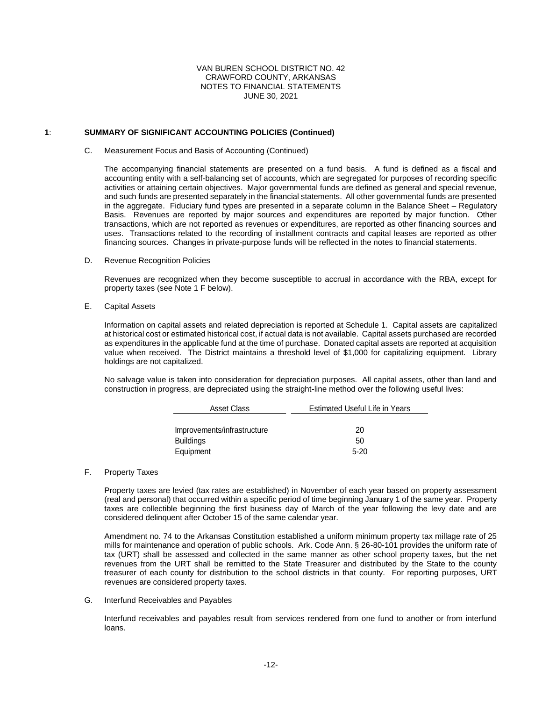# **1**: **SUMMARY OF SIGNIFICANT ACCOUNTING POLICIES (Continued)**

#### C. Measurement Focus and Basis of Accounting (Continued)

The accompanying financial statements are presented on a fund basis. A fund is defined as a fiscal and accounting entity with a self-balancing set of accounts, which are segregated for purposes of recording specific activities or attaining certain objectives. Major governmental funds are defined as general and special revenue, and such funds are presented separately in the financial statements. All other governmental funds are presented in the aggregate. Fiduciary fund types are presented in a separate column in the Balance Sheet – Regulatory Basis. Revenues are reported by major sources and expenditures are reported by major function. Other transactions, which are not reported as revenues or expenditures, are reported as other financing sources and uses. Transactions related to the recording of installment contracts and capital leases are reported as other financing sources. Changes in private-purpose funds will be reflected in the notes to financial statements.

#### D. Revenue Recognition Policies

Revenues are recognized when they become susceptible to accrual in accordance with the RBA, except for property taxes (see Note 1 F below).

E. Capital Assets

Information on capital assets and related depreciation is reported at Schedule 1. Capital assets are capitalized at historical cost or estimated historical cost, if actual data is not available. Capital assets purchased are recorded as expenditures in the applicable fund at the time of purchase. Donated capital assets are reported at acquisition value when received. The District maintains a threshold level of \$1,000 for capitalizing equipment. Library holdings are not capitalized.

No salvage value is taken into consideration for depreciation purposes. All capital assets, other than land and construction in progress, are depreciated using the straight-line method over the following useful lives:

| Asset Class                 | Estimated Useful Life in Years |  |  |  |  |  |
|-----------------------------|--------------------------------|--|--|--|--|--|
|                             |                                |  |  |  |  |  |
| Improvements/infrastructure | 20                             |  |  |  |  |  |
| <b>Buildings</b>            | 50                             |  |  |  |  |  |
| Equipment                   | $5-20$                         |  |  |  |  |  |

F. Property Taxes

Property taxes are levied (tax rates are established) in November of each year based on property assessment (real and personal) that occurred within a specific period of time beginning January 1 of the same year. Property taxes are collectible beginning the first business day of March of the year following the levy date and are considered delinquent after October 15 of the same calendar year.

Amendment no. 74 to the Arkansas Constitution established a uniform minimum property tax millage rate of 25 mills for maintenance and operation of public schools. Ark. Code Ann. § 26-80-101 provides the uniform rate of tax (URT) shall be assessed and collected in the same manner as other school property taxes, but the net revenues from the URT shall be remitted to the State Treasurer and distributed by the State to the county treasurer of each county for distribution to the school districts in that county. For reporting purposes, URT revenues are considered property taxes.

G. Interfund Receivables and Payables

Interfund receivables and payables result from services rendered from one fund to another or from interfund loans.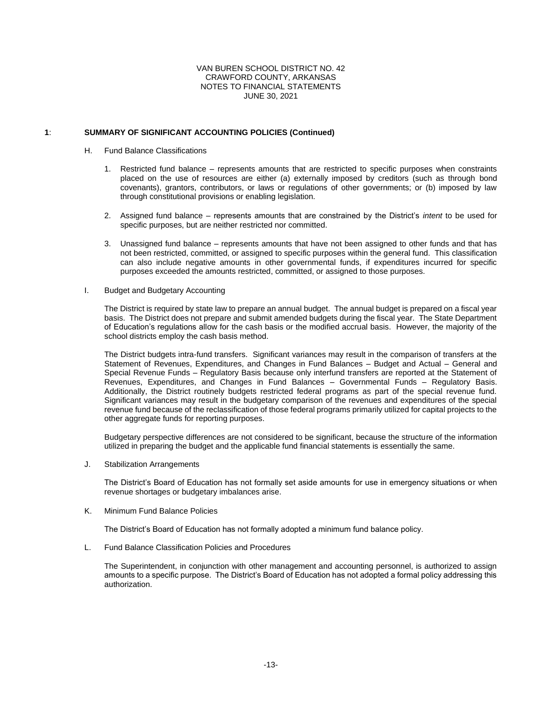# **1**: **SUMMARY OF SIGNIFICANT ACCOUNTING POLICIES (Continued)**

- H. Fund Balance Classifications
	- 1. Restricted fund balance represents amounts that are restricted to specific purposes when constraints placed on the use of resources are either (a) externally imposed by creditors (such as through bond covenants), grantors, contributors, or laws or regulations of other governments; or (b) imposed by law through constitutional provisions or enabling legislation.
	- 2. Assigned fund balance represents amounts that are constrained by the District's *intent* to be used for specific purposes, but are neither restricted nor committed.
	- 3. Unassigned fund balance represents amounts that have not been assigned to other funds and that has not been restricted, committed, or assigned to specific purposes within the general fund. This classification can also include negative amounts in other governmental funds, if expenditures incurred for specific purposes exceeded the amounts restricted, committed, or assigned to those purposes.
- I. Budget and Budgetary Accounting

The District is required by state law to prepare an annual budget. The annual budget is prepared on a fiscal year basis. The District does not prepare and submit amended budgets during the fiscal year. The State Department of Education's regulations allow for the cash basis or the modified accrual basis. However, the majority of the school districts employ the cash basis method.

The District budgets intra-fund transfers. Significant variances may result in the comparison of transfers at the Statement of Revenues, Expenditures, and Changes in Fund Balances – Budget and Actual – General and Special Revenue Funds – Regulatory Basis because only interfund transfers are reported at the Statement of Revenues, Expenditures, and Changes in Fund Balances – Governmental Funds – Regulatory Basis. Additionally, the District routinely budgets restricted federal programs as part of the special revenue fund. Significant variances may result in the budgetary comparison of the revenues and expenditures of the special revenue fund because of the reclassification of those federal programs primarily utilized for capital projects to the other aggregate funds for reporting purposes.

Budgetary perspective differences are not considered to be significant, because the structure of the information utilized in preparing the budget and the applicable fund financial statements is essentially the same.

J. Stabilization Arrangements

The District's Board of Education has not formally set aside amounts for use in emergency situations or when revenue shortages or budgetary imbalances arise.

K. Minimum Fund Balance Policies

The District's Board of Education has not formally adopted a minimum fund balance policy.

L. Fund Balance Classification Policies and Procedures

The Superintendent, in conjunction with other management and accounting personnel, is authorized to assign amounts to a specific purpose. The District's Board of Education has not adopted a formal policy addressing this authorization.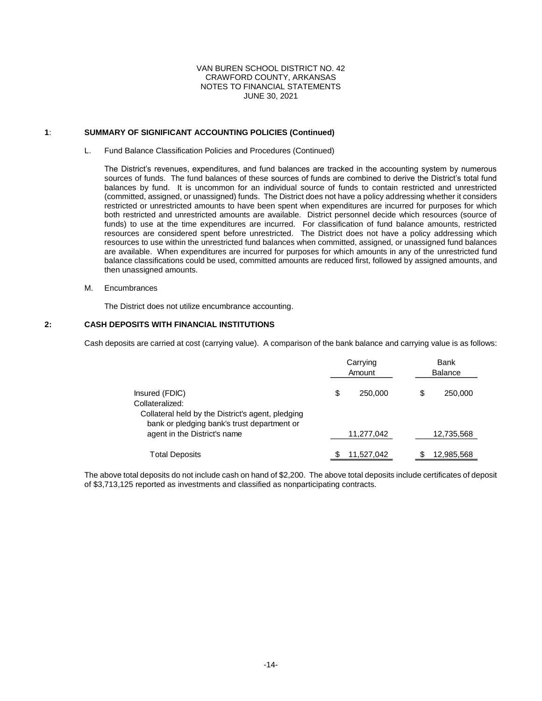# **1**: **SUMMARY OF SIGNIFICANT ACCOUNTING POLICIES (Continued)**

# L. Fund Balance Classification Policies and Procedures (Continued)

The District's revenues, expenditures, and fund balances are tracked in the accounting system by numerous sources of funds. The fund balances of these sources of funds are combined to derive the District's total fund balances by fund. It is uncommon for an individual source of funds to contain restricted and unrestricted (committed, assigned, or unassigned) funds. The District does not have a policy addressing whether it considers restricted or unrestricted amounts to have been spent when expenditures are incurred for purposes for which both restricted and unrestricted amounts are available. District personnel decide which resources (source of funds) to use at the time expenditures are incurred. For classification of fund balance amounts, restricted resources are considered spent before unrestricted. The District does not have a policy addressing which resources to use within the unrestricted fund balances when committed, assigned, or unassigned fund balances are available. When expenditures are incurred for purposes for which amounts in any of the unrestricted fund balance classifications could be used, committed amounts are reduced first, followed by assigned amounts, and then unassigned amounts.

# M. Encumbrances

The District does not utilize encumbrance accounting.

# **2: CASH DEPOSITS WITH FINANCIAL INSTITUTIONS**

Cash deposits are carried at cost (carrying value). A comparison of the bank balance and carrying value is as follows:

|                                                   | Carrying<br>Amount | Bank<br><b>Balance</b> |
|---------------------------------------------------|--------------------|------------------------|
| Insured (FDIC)                                    | \$<br>250,000      | \$<br>250,000          |
| Collateralized:                                   |                    |                        |
| Collateral held by the District's agent, pledging |                    |                        |
| bank or pledging bank's trust department or       |                    |                        |
| agent in the District's name                      | 11,277,042         | 12,735,568             |
| Total Deposits                                    | 11,527,042         | 12,985,568             |

The above total deposits do not include cash on hand of \$2,200. The above total deposits include certificates of deposit of \$3,713,125 reported as investments and classified as nonparticipating contracts.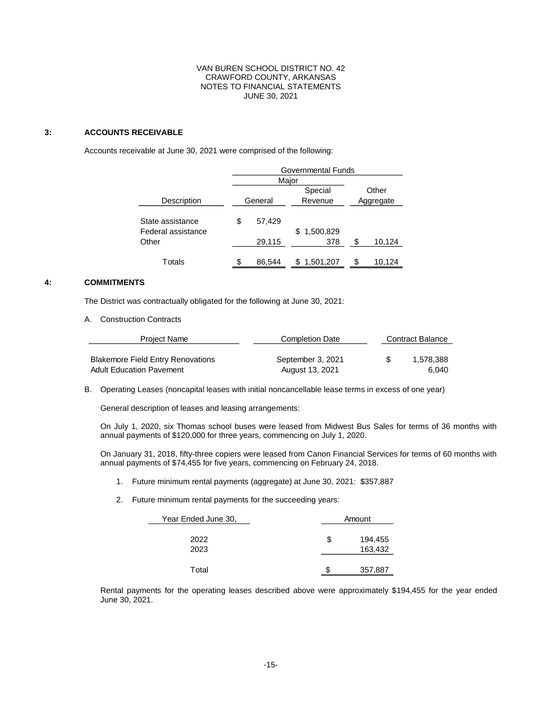# **3: ACCOUNTS RECEIVABLE**

Accounts receivable at June 30, 2021 were comprised of the following:

|                                        |     |         | Governmental Funds |           |        |  |
|----------------------------------------|-----|---------|--------------------|-----------|--------|--|
|                                        |     | Major   |                    |           |        |  |
|                                        |     |         |                    | Other     |        |  |
| Description                            |     | General | Revenue            | Aggregate |        |  |
| State assistance<br>Federal assistance | \$  | 57,429  | 1,500,829<br>S.    |           |        |  |
| Other                                  |     | 29,115  | 378                | S         | 10,124 |  |
| Totals                                 | \$. | 86,544  | 1,501,207          |           | 10,124 |  |

# **4: COMMITMENTS**

The District was contractually obligated for the following at June 30, 2021:

A. Construction Contracts

| <b>Project Name</b>                      | <b>Completion Date</b> | <b>Contract Balance</b> |  |  |
|------------------------------------------|------------------------|-------------------------|--|--|
|                                          |                        |                         |  |  |
| <b>Blakemore Field Entry Renovations</b> | September 3, 2021      | 1.578.388               |  |  |
| <b>Adult Education Pavement</b>          | August 13, 2021        | 6.040                   |  |  |

B. Operating Leases (noncapital leases with initial noncancellable lease terms in excess of one year)

General description of leases and leasing arrangements:

On July 1, 2020, six Thomas school buses were leased from Midwest Bus Sales for terms of 36 months with annual payments of \$120,000 for three years, commencing on July 1, 2020.

On January 31, 2018, fifty-three copiers were leased from Canon Financial Services for terms of 60 months with annual payments of \$74,455 for five years, commencing on February 24, 2018.

- 1. Future minimum rental payments (aggregate) at June 30, 2021: \$357,887
- 2. Future minimum rental payments for the succeeding years:

| Year Ended June 30, | Amount |   |         |  |
|---------------------|--------|---|---------|--|
| 2022                |        | S | 194,455 |  |
| 2023                |        |   | 163,432 |  |
| Total               |        | S | 357,887 |  |

Rental payments for the operating leases described above were approximately \$194,455 for the year ended June 30, 2021.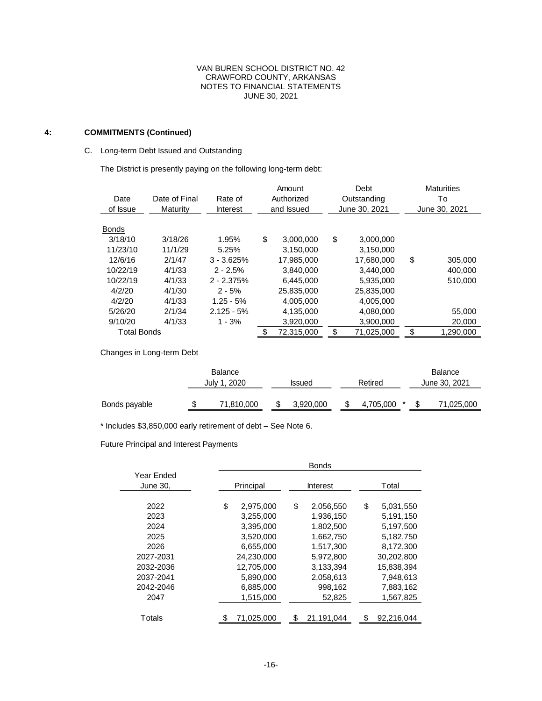# **4: COMMITMENTS (Continued)**

# C. Long-term Debt Issued and Outstanding

The District is presently paying on the following long-term debt:

|                    |               |              | Amount     |            |             | Debt          |    | <b>Maturities</b> |
|--------------------|---------------|--------------|------------|------------|-------------|---------------|----|-------------------|
| Date               | Date of Final | Rate of      | Authorized |            | Outstanding |               | To |                   |
| of Issue           | Maturity      | Interest     |            | and Issued |             | June 30, 2021 |    | June 30, 2021     |
|                    |               |              |            |            |             |               |    |                   |
| <b>Bonds</b>       |               |              |            |            |             |               |    |                   |
| 3/18/10            | 3/18/26       | 1.95%        | \$         | 3.000.000  | \$          | 3.000.000     |    |                   |
| 11/23/10           | 11/1/29       | 5.25%        |            | 3,150,000  |             | 3,150,000     |    |                   |
| 12/6/16            | 2/1/47        | $3 - 3.625%$ |            | 17.985.000 |             | 17.680.000    | \$ | 305,000           |
| 10/22/19           | 4/1/33        | $2 - 2.5%$   |            | 3,840,000  |             | 3,440,000     |    | 400,000           |
| 10/22/19           | 4/1/33        | $2 - 2.375%$ |            | 6.445.000  |             | 5,935,000     |    | 510,000           |
| 4/2/20             | 4/1/30        | $2 - 5%$     |            | 25,835,000 |             | 25,835,000    |    |                   |
| 4/2/20             | 4/1/33        | $1.25 - 5%$  |            | 4.005.000  |             | 4,005,000     |    |                   |
| 5/26/20            | 2/1/34        | $2.125 - 5%$ |            | 4,135,000  |             | 4,080,000     |    | 55,000            |
| 9/10/20            | 4/1/33        | $1 - 3%$     |            | 3,920,000  |             | 3,900,000     |    | 20,000            |
| <b>Total Bonds</b> |               |              | \$         | 72.315.000 | \$          | 71.025.000    | \$ | 1.290.000         |

Changes in Long-term Debt

|               | Balance      |            |               |  |           |  |  |               |  |  |
|---------------|--------------|------------|---------------|--|-----------|--|--|---------------|--|--|
|               | July 1, 2020 |            | <b>Issued</b> |  | Retired   |  |  | June 30, 2021 |  |  |
|               |              |            |               |  |           |  |  |               |  |  |
| Bonds payable | \$           | 71.810.000 | 3,920,000     |  | 4,705,000 |  |  | 71,025,000    |  |  |

\* Includes \$3,850,000 early retirement of debt – See Note 6.

# Future Principal and Interest Payments

|                        | <b>Bonds</b>    |                 |                 |  |  |  |  |  |  |
|------------------------|-----------------|-----------------|-----------------|--|--|--|--|--|--|
| Year Ended<br>June 30, | Principal       | Interest        | Total           |  |  |  |  |  |  |
|                        |                 |                 |                 |  |  |  |  |  |  |
| 2022                   | \$<br>2,975,000 | \$<br>2,056,550 | \$<br>5,031,550 |  |  |  |  |  |  |
| 2023                   | 3.255.000       | 1,936,150       | 5,191,150       |  |  |  |  |  |  |
| 2024                   | 3,395,000       | 1,802,500       | 5,197,500       |  |  |  |  |  |  |
| 2025                   | 3,520,000       | 1,662,750       | 5,182,750       |  |  |  |  |  |  |
| 2026                   | 6.655.000       | 1.517.300       | 8,172,300       |  |  |  |  |  |  |
| 2027-2031              | 24,230,000      | 5,972,800       | 30,202,800      |  |  |  |  |  |  |
| 2032-2036              | 12,705,000      | 3,133,394       | 15,838,394      |  |  |  |  |  |  |
| 2037-2041              | 5.890.000       | 2,058,613       | 7.948.613       |  |  |  |  |  |  |
| 2042-2046              | 6,885,000       | 998,162         | 7,883,162       |  |  |  |  |  |  |
| 2047                   | 1,515,000       | 52,825          | 1,567,825       |  |  |  |  |  |  |
|                        |                 |                 |                 |  |  |  |  |  |  |
| Totals                 | 71,025,000      | 21,191,044      | 92.216.044      |  |  |  |  |  |  |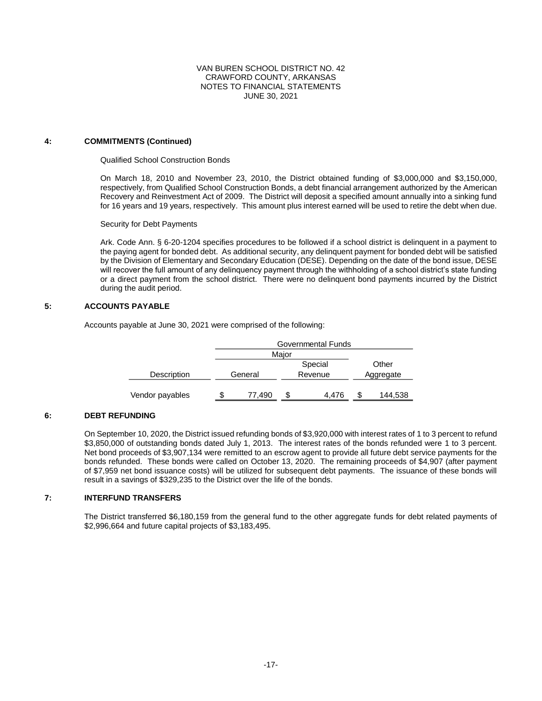# **4: COMMITMENTS (Continued)**

# Qualified School Construction Bonds

On March 18, 2010 and November 23, 2010, the District obtained funding of \$3,000,000 and \$3,150,000, respectively, from Qualified School Construction Bonds, a debt financial arrangement authorized by the American Recovery and Reinvestment Act of 2009. The District will deposit a specified amount annually into a sinking fund for 16 years and 19 years, respectively. This amount plus interest earned will be used to retire the debt when due.

# Security for Debt Payments

Ark. Code Ann. § 6-20-1204 specifies procedures to be followed if a school district is delinquent in a payment to the paying agent for bonded debt. As additional security, any delinquent payment for bonded debt will be satisfied by the Division of Elementary and Secondary Education (DESE). Depending on the date of the bond issue, DESE will recover the full amount of any delinquency payment through the withholding of a school district's state funding or a direct payment from the school district. There were no delinquent bond payments incurred by the District during the audit period.

# **5: ACCOUNTS PAYABLE**

Accounts payable at June 30, 2021 were comprised of the following:

|                 | Governmental Funds |         |       |         |           |         |  |  |  |
|-----------------|--------------------|---------|-------|---------|-----------|---------|--|--|--|
|                 |                    | Major   |       |         |           |         |  |  |  |
|                 |                    |         | Other |         |           |         |  |  |  |
| Description     |                    | General |       | Revenue | Aggregate |         |  |  |  |
| Vendor payables | S                  | 77.490  | S     | 4.476   | S         | 144,538 |  |  |  |

# **6: DEBT REFUNDING**

On September 10, 2020, the District issued refunding bonds of \$3,920,000 with interest rates of 1 to 3 percent to refund \$3,850,000 of outstanding bonds dated July 1, 2013. The interest rates of the bonds refunded were 1 to 3 percent. Net bond proceeds of \$3,907,134 were remitted to an escrow agent to provide all future debt service payments for the bonds refunded. These bonds were called on October 13, 2020. The remaining proceeds of \$4,907 (after payment of \$7,959 net bond issuance costs) will be utilized for subsequent debt payments. The issuance of these bonds will result in a savings of \$329,235 to the District over the life of the bonds.

# **7: INTERFUND TRANSFERS**

The District transferred \$6,180,159 from the general fund to the other aggregate funds for debt related payments of \$2,996,664 and future capital projects of \$3,183,495.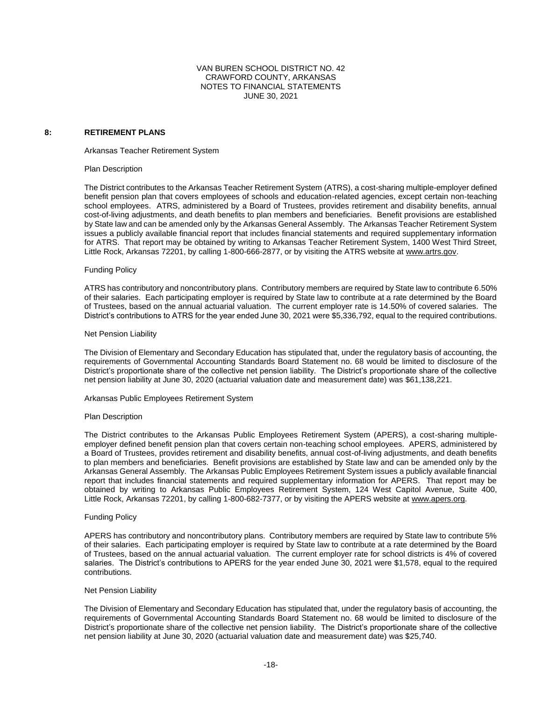# **8: RETIREMENT PLANS**

Arkansas Teacher Retirement System

#### Plan Description

The District contributes to the Arkansas Teacher Retirement System (ATRS), a cost-sharing multiple-employer defined benefit pension plan that covers employees of schools and education-related agencies, except certain non-teaching school employees. ATRS, administered by a Board of Trustees, provides retirement and disability benefits, annual cost-of-living adjustments, and death benefits to plan members and beneficiaries. Benefit provisions are established by State law and can be amended only by the Arkansas General Assembly. The Arkansas Teacher Retirement System issues a publicly available financial report that includes financial statements and required supplementary information for ATRS. That report may be obtained by writing to Arkansas Teacher Retirement System, 1400 West Third Street, Little Rock, Arkansas 72201, by calling 1-800-666-2877, or by visiting the ATRS website at www.artrs.gov.

#### Funding Policy

ATRS has contributory and noncontributory plans. Contributory members are required by State law to contribute 6.50% of their salaries. Each participating employer is required by State law to contribute at a rate determined by the Board of Trustees, based on the annual actuarial valuation. The current employer rate is 14.50% of covered salaries. The District's contributions to ATRS for the year ended June 30, 2021 were \$5,336,792, equal to the required contributions.

#### Net Pension Liability

The Division of Elementary and Secondary Education has stipulated that, under the regulatory basis of accounting, the requirements of Governmental Accounting Standards Board Statement no. 68 would be limited to disclosure of the District's proportionate share of the collective net pension liability. The District's proportionate share of the collective net pension liability at June 30, 2020 (actuarial valuation date and measurement date) was \$61,138,221.

Arkansas Public Employees Retirement System

#### Plan Description

The District contributes to the Arkansas Public Employees Retirement System (APERS), a cost-sharing multipleemployer defined benefit pension plan that covers certain non-teaching school employees. APERS, administered by a Board of Trustees, provides retirement and disability benefits, annual cost-of-living adjustments, and death benefits to plan members and beneficiaries. Benefit provisions are established by State law and can be amended only by the Arkansas General Assembly. The Arkansas Public Employees Retirement System issues a publicly available financial report that includes financial statements and required supplementary information for APERS. That report may be obtained by writing to Arkansas Public Employees Retirement System, 124 West Capitol Avenue, Suite 400, Little Rock, Arkansas 72201, by calling 1-800-682-7377, or by visiting the APERS website at www.apers.org.

#### Funding Policy

APERS has contributory and noncontributory plans. Contributory members are required by State law to contribute 5% of their salaries. Each participating employer is required by State law to contribute at a rate determined by the Board of Trustees, based on the annual actuarial valuation. The current employer rate for school districts is 4% of covered salaries. The District's contributions to APERS for the year ended June 30, 2021 were \$1,578, equal to the required contributions.

#### Net Pension Liability

The Division of Elementary and Secondary Education has stipulated that, under the regulatory basis of accounting, the requirements of Governmental Accounting Standards Board Statement no. 68 would be limited to disclosure of the District's proportionate share of the collective net pension liability. The District's proportionate share of the collective net pension liability at June 30, 2020 (actuarial valuation date and measurement date) was \$25,740.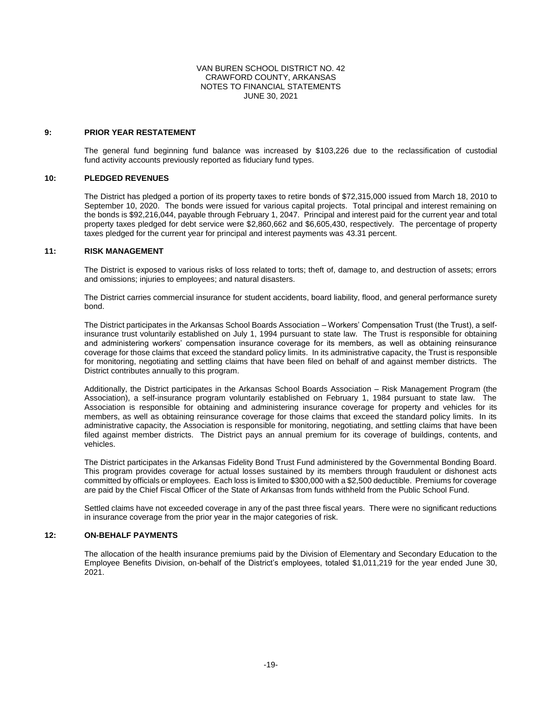#### **9: PRIOR YEAR RESTATEMENT**

The general fund beginning fund balance was increased by \$103,226 due to the reclassification of custodial fund activity accounts previously reported as fiduciary fund types.

#### **10: PLEDGED REVENUES**

The District has pledged a portion of its property taxes to retire bonds of \$72,315,000 issued from March 18, 2010 to September 10, 2020. The bonds were issued for various capital projects. Total principal and interest remaining on the bonds is \$92,216,044, payable through February 1, 2047. Principal and interest paid for the current year and total property taxes pledged for debt service were \$2,860,662 and \$6,605,430, respectively. The percentage of property taxes pledged for the current year for principal and interest payments was 43.31 percent.

#### **11: RISK MANAGEMENT**

The District is exposed to various risks of loss related to torts; theft of, damage to, and destruction of assets; errors and omissions; injuries to employees; and natural disasters.

The District carries commercial insurance for student accidents, board liability, flood, and general performance surety bond.

The District participates in the Arkansas School Boards Association – Workers' Compensation Trust (the Trust), a selfinsurance trust voluntarily established on July 1, 1994 pursuant to state law. The Trust is responsible for obtaining and administering workers' compensation insurance coverage for its members, as well as obtaining reinsurance coverage for those claims that exceed the standard policy limits. In its administrative capacity, the Trust is responsible for monitoring, negotiating and settling claims that have been filed on behalf of and against member districts. The District contributes annually to this program.

Additionally, the District participates in the Arkansas School Boards Association – Risk Management Program (the Association), a self-insurance program voluntarily established on February 1, 1984 pursuant to state law. The Association is responsible for obtaining and administering insurance coverage for property and vehicles for its members, as well as obtaining reinsurance coverage for those claims that exceed the standard policy limits. In its administrative capacity, the Association is responsible for monitoring, negotiating, and settling claims that have been filed against member districts. The District pays an annual premium for its coverage of buildings, contents, and vehicles.

The District participates in the Arkansas Fidelity Bond Trust Fund administered by the Governmental Bonding Board. This program provides coverage for actual losses sustained by its members through fraudulent or dishonest acts committed by officials or employees. Each loss is limited to \$300,000 with a \$2,500 deductible. Premiums for coverage are paid by the Chief Fiscal Officer of the State of Arkansas from funds withheld from the Public School Fund.

Settled claims have not exceeded coverage in any of the past three fiscal years. There were no significant reductions in insurance coverage from the prior year in the major categories of risk.

#### **12: ON-BEHALF PAYMENTS**

The allocation of the health insurance premiums paid by the Division of Elementary and Secondary Education to the Employee Benefits Division, on-behalf of the District's employees, totaled \$1,011,219 for the year ended June 30, 2021.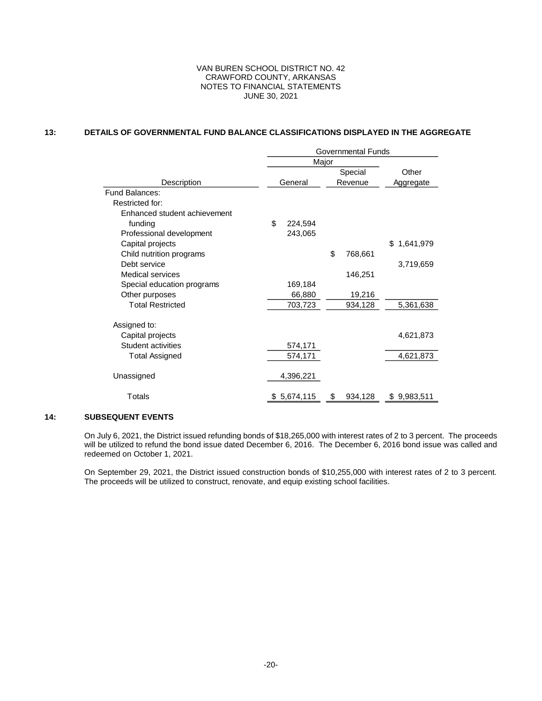# **13: DETAILS OF GOVERNMENTAL FUND BALANCE CLASSIFICATIONS DISPLAYED IN THE AGGREGATE**

| Governmental Funds |         |                                                         |         |                    |  |  |  |  |
|--------------------|---------|---------------------------------------------------------|---------|--------------------|--|--|--|--|
|                    |         |                                                         |         |                    |  |  |  |  |
|                    |         |                                                         |         | Other              |  |  |  |  |
|                    |         |                                                         |         | Aggregate          |  |  |  |  |
|                    |         |                                                         |         |                    |  |  |  |  |
|                    |         |                                                         |         |                    |  |  |  |  |
|                    |         |                                                         |         |                    |  |  |  |  |
| \$                 | 224,594 |                                                         |         |                    |  |  |  |  |
|                    | 243,065 |                                                         |         |                    |  |  |  |  |
|                    |         |                                                         |         | \$1,641,979        |  |  |  |  |
|                    |         | \$                                                      | 768,661 |                    |  |  |  |  |
|                    |         |                                                         |         | 3,719,659          |  |  |  |  |
|                    |         |                                                         | 146,251 |                    |  |  |  |  |
|                    | 169,184 |                                                         |         |                    |  |  |  |  |
|                    | 66,880  |                                                         | 19,216  |                    |  |  |  |  |
|                    | 703,723 |                                                         | 934,128 | 5,361,638          |  |  |  |  |
|                    |         |                                                         |         |                    |  |  |  |  |
|                    |         |                                                         |         | 4,621,873          |  |  |  |  |
|                    |         |                                                         |         |                    |  |  |  |  |
|                    |         |                                                         |         | 4,621,873          |  |  |  |  |
|                    |         |                                                         |         |                    |  |  |  |  |
|                    |         |                                                         |         |                    |  |  |  |  |
|                    |         |                                                         |         |                    |  |  |  |  |
|                    |         |                                                         | 934,128 | 9,983,511<br>S.    |  |  |  |  |
|                    |         | General<br>574,171<br>574,171<br>4,396,221<br>5,674,115 | Major   | Special<br>Revenue |  |  |  |  |

# **14: SUBSEQUENT EVENTS**

On July 6, 2021, the District issued refunding bonds of \$18,265,000 with interest rates of 2 to 3 percent. The proceeds will be utilized to refund the bond issue dated December 6, 2016. The December 6, 2016 bond issue was called and redeemed on October 1, 2021.

On September 29, 2021, the District issued construction bonds of \$10,255,000 with interest rates of 2 to 3 percent. The proceeds will be utilized to construct, renovate, and equip existing school facilities.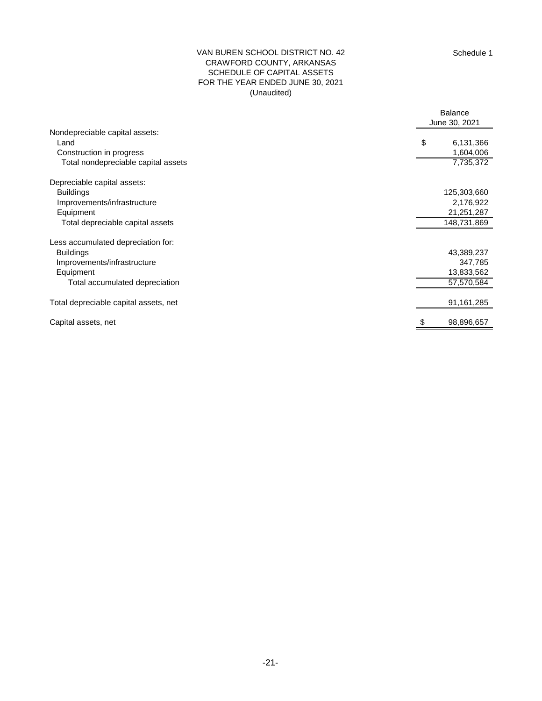# (Unaudited) VAN BUREN SCHOOL DISTRICT NO. 42 CRAWFORD COUNTY, ARKANSAS SCHEDULE OF CAPITAL ASSETS FOR THE YEAR ENDED JUNE 30, 2021

|                                                                                                                                      | <b>Balance</b><br>June 30, 2021                       |
|--------------------------------------------------------------------------------------------------------------------------------------|-------------------------------------------------------|
| Nondepreciable capital assets:<br>Land<br>Construction in progress<br>Total nondepreciable capital assets                            | \$<br>6,131,366<br>1,604,006<br>7,735,372             |
| Depreciable capital assets:<br><b>Buildings</b><br>Improvements/infrastructure<br>Equipment<br>Total depreciable capital assets      | 125,303,660<br>2,176,922<br>21,251,287<br>148,731,869 |
| Less accumulated depreciation for:<br><b>Buildings</b><br>Improvements/infrastructure<br>Equipment<br>Total accumulated depreciation | 43,389,237<br>347,785<br>13,833,562<br>57,570,584     |
| Total depreciable capital assets, net                                                                                                | 91,161,285                                            |
| Capital assets, net                                                                                                                  | 98,896,657                                            |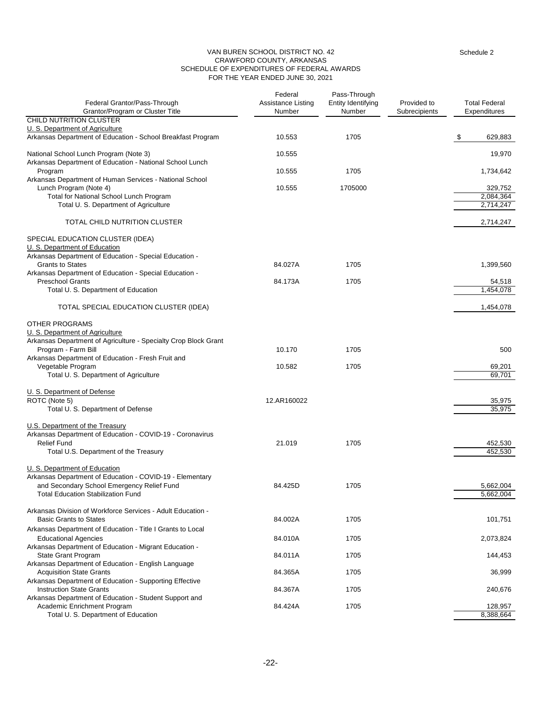#### VAN BUREN SCHOOL DISTRICT NO. 42 CRAWFORD COUNTY, ARKANSAS SCHEDULE OF EXPENDITURES OF FEDERAL AWARDS FOR THE YEAR ENDED JUNE 30, 2021

| Federal Grantor/Pass-Through<br>Grantor/Program or Cluster Title                                       | Federal<br>Assistance Listing<br>Number | Pass-Through<br><b>Entity Identifying</b><br>Number | Provided to<br>Subrecipients | <b>Total Federal</b><br>Expenditures |
|--------------------------------------------------------------------------------------------------------|-----------------------------------------|-----------------------------------------------------|------------------------------|--------------------------------------|
| <b>CHILD NUTRITION CLUSTER</b>                                                                         |                                         |                                                     |                              |                                      |
| U. S. Department of Agriculture<br>Arkansas Department of Education - School Breakfast Program         | 10.553                                  | 1705                                                |                              | \$<br>629,883                        |
| National School Lunch Program (Note 3)<br>Arkansas Department of Education - National School Lunch     | 10.555                                  |                                                     |                              | 19,970                               |
| Program<br>Arkansas Department of Human Services - National School                                     | 10.555                                  | 1705                                                |                              | 1,734,642                            |
| Lunch Program (Note 4)<br>Total for National School Lunch Program                                      | 10.555                                  | 1705000                                             |                              | 329,752<br>2,084,364                 |
| Total U. S. Department of Agriculture                                                                  |                                         |                                                     |                              | 2,714,247                            |
| TOTAL CHILD NUTRITION CLUSTER                                                                          |                                         |                                                     |                              | 2,714,247                            |
| SPECIAL EDUCATION CLUSTER (IDEA)<br>U. S. Department of Education                                      |                                         |                                                     |                              |                                      |
| Arkansas Department of Education - Special Education -<br><b>Grants to States</b>                      | 84.027A                                 | 1705                                                |                              | 1,399,560                            |
| Arkansas Department of Education - Special Education -                                                 |                                         |                                                     |                              |                                      |
| <b>Preschool Grants</b><br>Total U. S. Department of Education                                         | 84.173A                                 | 1705                                                |                              | 54,518<br>1,454,078                  |
| TOTAL SPECIAL EDUCATION CLUSTER (IDEA)                                                                 |                                         |                                                     |                              | 1,454,078                            |
| <b>OTHER PROGRAMS</b><br>U. S. Department of Agriculture                                               |                                         |                                                     |                              |                                      |
| Arkansas Department of Agriculture - Specialty Crop Block Grant<br>Program - Farm Bill                 | 10.170                                  | 1705                                                |                              | 500                                  |
| Arkansas Department of Education - Fresh Fruit and<br>Vegetable Program                                | 10.582                                  | 1705                                                |                              | 69,201                               |
| Total U. S. Department of Agriculture                                                                  |                                         |                                                     |                              | 69,701                               |
| U. S. Department of Defense<br>ROTC (Note 5)                                                           | 12.AR160022                             |                                                     |                              | 35,975                               |
| Total U. S. Department of Defense                                                                      |                                         |                                                     |                              | 35,975                               |
| U.S. Department of the Treasury<br>Arkansas Department of Education - COVID-19 - Coronavirus           |                                         |                                                     |                              |                                      |
| <b>Relief Fund</b><br>Total U.S. Department of the Treasury                                            | 21.019                                  | 1705                                                |                              | 452,530<br>452,530                   |
| U. S. Department of Education                                                                          |                                         |                                                     |                              |                                      |
| Arkansas Department of Education - COVID-19 - Elementary<br>and Secondary School Emergency Relief Fund | 84.425D                                 | 1705                                                |                              | 5,662,004                            |
| <b>Total Education Stabilization Fund</b>                                                              |                                         |                                                     |                              | 5,662,004                            |
| Arkansas Division of Workforce Services - Adult Education -<br><b>Basic Grants to States</b>           | 84.002A                                 | 1705                                                |                              | 101,751                              |
| Arkansas Department of Education - Title I Grants to Local<br><b>Educational Agencies</b>              | 84.010A                                 | 1705                                                |                              | 2,073,824                            |
| Arkansas Department of Education - Migrant Education -<br><b>State Grant Program</b>                   | 84.011A                                 | 1705                                                |                              | 144,453                              |
| Arkansas Department of Education - English Language<br><b>Acquisition State Grants</b>                 | 84.365A                                 | 1705                                                |                              | 36,999                               |
| Arkansas Department of Education - Supporting Effective<br><b>Instruction State Grants</b>             | 84.367A                                 | 1705                                                |                              | 240,676                              |
| Arkansas Department of Education - Student Support and<br>Academic Enrichment Program                  | 84.424A                                 | 1705                                                |                              | 128,957                              |
| Total U. S. Department of Education                                                                    |                                         |                                                     |                              | 8,388,664                            |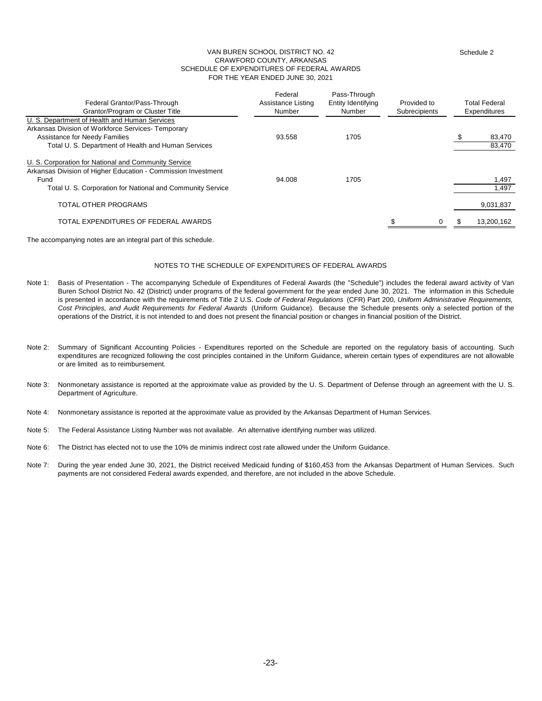#### VAN BUREN SCHOOL DISTRICT NO. 42 CRAWFORD COUNTY, ARKANSAS SCHEDULE OF EXPENDITURES OF FEDERAL AWARDS FOR THE YEAR ENDED JUNE 30, 2021

| Federal Grantor/Pass-Through<br>Grantor/Program or Cluster Title                                                      | Federal<br>Assistance Listing<br>Number | Pass-Through<br>Entity Identifying<br>Number | Provided to<br>Subrecipients | <b>Total Federal</b><br>Expenditures |
|-----------------------------------------------------------------------------------------------------------------------|-----------------------------------------|----------------------------------------------|------------------------------|--------------------------------------|
| U. S. Department of Health and Human Services                                                                         |                                         |                                              |                              |                                      |
| Arkansas Division of Workforce Services- Temporary<br><b>Assistance for Needy Families</b>                            | 93.558                                  | 1705                                         |                              | \$<br>83,470                         |
| Total U. S. Department of Health and Human Services                                                                   |                                         |                                              |                              | 83,470                               |
| U. S. Corporation for National and Community Service<br>Arkansas Division of Higher Education - Commission Investment |                                         |                                              |                              |                                      |
| Fund                                                                                                                  | 94.008                                  | 1705                                         |                              | 1,497                                |
| Total U. S. Corporation for National and Community Service                                                            |                                         |                                              |                              | 1,497                                |
| <b>TOTAL OTHER PROGRAMS</b>                                                                                           |                                         |                                              |                              | 9,031,837                            |
| TOTAL EXPENDITURES OF FEDERAL AWARDS                                                                                  |                                         |                                              |                              | 13,200,162                           |
|                                                                                                                       |                                         |                                              |                              |                                      |

The accompanying notes are an integral part of this schedule.

#### NOTES TO THE SCHEDULE OF EXPENDITURES OF FEDERAL AWARDS

- Basis of Presentation The accompanying Schedule of Expenditures of Federal Awards (the "Schedule") includes the federal award activity of Van Buren School District No. 42 (District) under programs of the federal government for the year ended June 30, 2021. The information in this Schedule is presented in accordance with the requirements of Title 2 U.S. *Code of Federal Regulations* (CFR) Part 200, *Uniform Administrative Requirements, Cost Principles, and Audit Requirements for Federal Awards* (Uniform Guidance). Because the Schedule presents only a selected portion of the operations of the District, it is not intended to and does not present the financial position or changes in financial position of the District. Note 1:
- Note 2: Summary of Significant Accounting Policies Expenditures reported on the Schedule are reported on the regulatory basis of accounting. Such expenditures are recognized following the cost principles contained in the Uniform Guidance, wherein certain types of expenditures are not allowable or are limited as to reimbursement.
- Nonmonetary assistance is reported at the approximate value as provided by the U. S. Department of Defense through an agreement with the U. S. Department of Agriculture. Note 3:
- Note 4: Nonmonetary assistance is reported at the approximate value as provided by the Arkansas Department of Human Services.
- Note 5: The Federal Assistance Listing Number was not available. An alternative identifying number was utilized.
- Note 6: The District has elected not to use the 10% de minimis indirect cost rate allowed under the Uniform Guidance.
- During the year ended June 30, 2021, the District received Medicaid funding of \$160,453 from the Arkansas Department of Human Services. Such payments are not considered Federal awards expended, and therefore, are not included in the above Schedule. Note 7: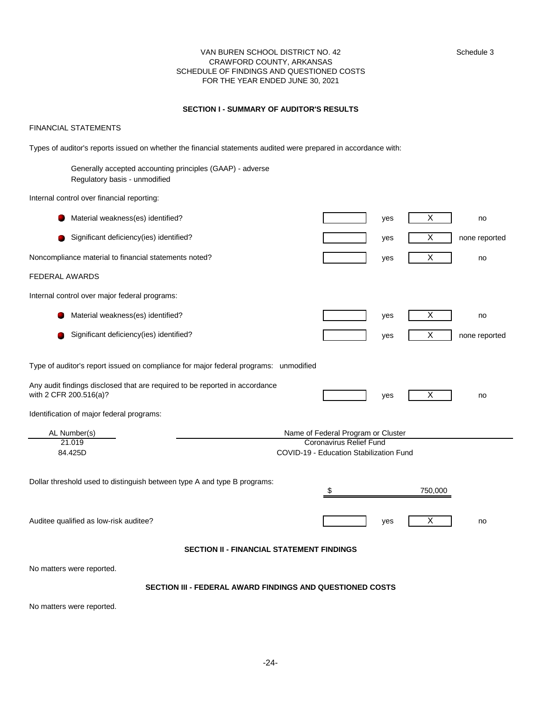# VAN BUREN SCHOOL DISTRICT NO. 42 CRAWFORD COUNTY, ARKANSAS SCHEDULE OF FINDINGS AND QUESTIONED COSTS FOR THE YEAR ENDED JUNE 30, 2021

# **SECTION I - SUMMARY OF AUDITOR'S RESULTS**

# FINANCIAL STATEMENTS

Types of auditor's reports issued on whether the financial statements audited were prepared in accordance with:

| Generally accepted accounting principles (GAAP) - adverse<br>Regulatory basis - unmodified            |                                                                      |               |  |  |  |  |  |  |
|-------------------------------------------------------------------------------------------------------|----------------------------------------------------------------------|---------------|--|--|--|--|--|--|
| Internal control over financial reporting:                                                            |                                                                      |               |  |  |  |  |  |  |
| Material weakness(es) identified?                                                                     | х<br>yes                                                             | no            |  |  |  |  |  |  |
| Significant deficiency(ies) identified?                                                               | Χ<br>yes                                                             | none reported |  |  |  |  |  |  |
| Noncompliance material to financial statements noted?                                                 | $\overline{\mathsf{x}}$<br>yes                                       | no            |  |  |  |  |  |  |
| FEDERAL AWARDS                                                                                        |                                                                      |               |  |  |  |  |  |  |
| Internal control over major federal programs:                                                         |                                                                      |               |  |  |  |  |  |  |
| Material weakness(es) identified?                                                                     | X<br>yes                                                             | no            |  |  |  |  |  |  |
| Significant deficiency(ies) identified?                                                               | Χ<br>yes                                                             | none reported |  |  |  |  |  |  |
| Type of auditor's report issued on compliance for major federal programs: unmodified                  |                                                                      |               |  |  |  |  |  |  |
| Any audit findings disclosed that are required to be reported in accordance<br>with 2 CFR 200.516(a)? | х<br>yes                                                             | no            |  |  |  |  |  |  |
| Identification of major federal programs:                                                             |                                                                      |               |  |  |  |  |  |  |
| AL Number(s)<br>21.019                                                                                | Name of Federal Program or Cluster<br><b>Coronavirus Relief Fund</b> |               |  |  |  |  |  |  |
| 84.425D                                                                                               | COVID-19 - Education Stabilization Fund                              |               |  |  |  |  |  |  |
| Dollar threshold used to distinguish between type A and type B programs:                              | \$<br>750,000                                                        |               |  |  |  |  |  |  |
| Auditee qualified as low-risk auditee?                                                                | X<br>yes                                                             | no            |  |  |  |  |  |  |
| <b>SECTION II - FINANCIAL STATEMENT FINDINGS</b>                                                      |                                                                      |               |  |  |  |  |  |  |
| No matters were reported.                                                                             |                                                                      |               |  |  |  |  |  |  |
| SECTION III - FEDERAL AWARD FINDINGS AND QUESTIONED COSTS                                             |                                                                      |               |  |  |  |  |  |  |

No matters were reported.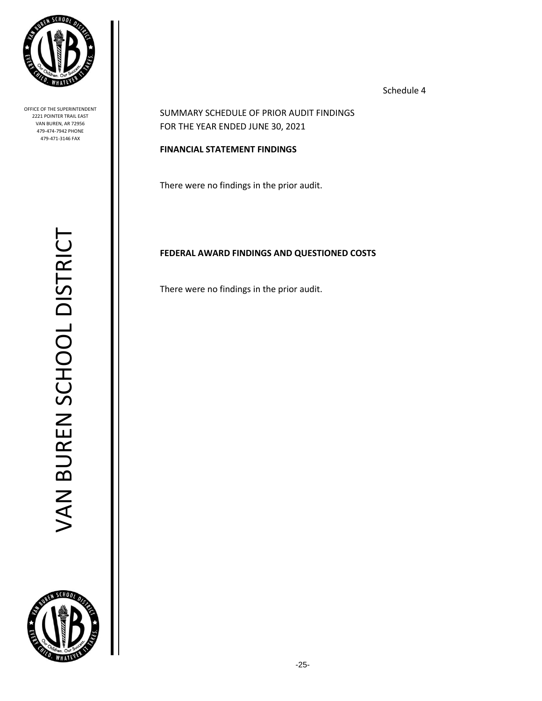

OFFICE OF THE SUPERINTENDENT 2221 POINTER TRAIL EAST VAN BUREN, AR 72956 479-474-7942 PHONE 479-471-3146 FAX

> VAN BUREN SCHOOL DISTRICT VAN BUREN SCHOOL DISTRICT



Schedule 4

SUMMARY SCHEDULE OF PRIOR AUDIT FINDINGS FOR THE YEAR ENDED JUNE 30, 2021

# **FINANCIAL STATEMENT FINDINGS**

There were no findings in the prior audit.

# **FEDERAL AWARD FINDINGS AND QUESTIONED COSTS**

There were no findings in the prior audit.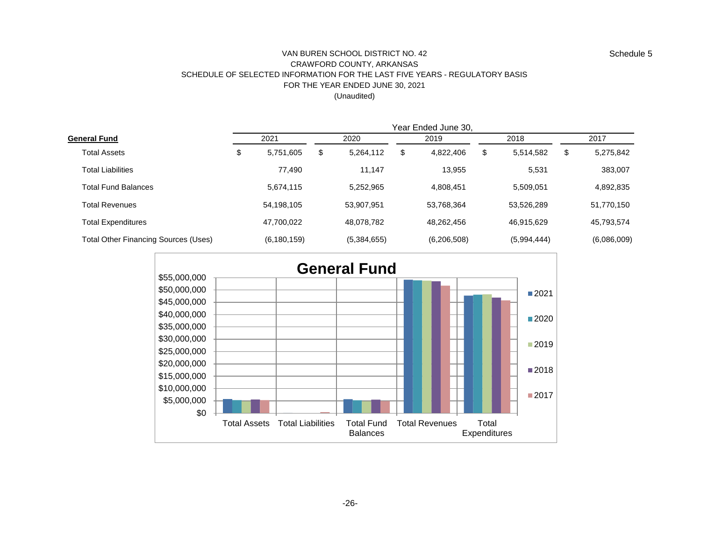# Schedule 5

# VAN BUREN SCHOOL DISTRICT NO. 42 CRAWFORD COUNTY, ARKANSAS SCHEDULE OF SELECTED INFORMATION FOR THE LAST FIVE YEARS - REGULATORY BASIS FOR THE YEAR ENDED JUNE 30, 2021 (Unaudited)

|                                             | Year Ended June 30, |               |      |             |      |               |      |             |      |             |  |
|---------------------------------------------|---------------------|---------------|------|-------------|------|---------------|------|-------------|------|-------------|--|
| General Fund                                | 2021                |               | 2020 |             | 2019 |               | 2018 |             | 2017 |             |  |
| <b>Total Assets</b>                         | \$                  | 5,751,605     | \$   | 5,264,112   | \$   | 4,822,406     | \$   | 5,514,582   | \$   | 5,275,842   |  |
| <b>Total Liabilities</b>                    |                     | 77,490        |      | 11,147      |      | 13,955        |      | 5,531       |      | 383,007     |  |
| <b>Total Fund Balances</b>                  |                     | 5,674,115     |      | 5.252.965   |      | 4,808,451     |      | 5.509.051   |      | 4,892,835   |  |
| <b>Total Revenues</b>                       |                     | 54,198,105    |      | 53,907,951  |      | 53,768,364    |      | 53,526,289  |      | 51,770,150  |  |
| <b>Total Expenditures</b>                   |                     | 47,700,022    |      | 48.078.782  |      | 48,262,456    |      | 46,915,629  |      | 45,793,574  |  |
| <b>Total Other Financing Sources (Uses)</b> |                     | (6, 180, 159) |      | (5,384,655) |      | (6, 206, 508) |      | (5,994,444) |      | (6,086,009) |  |

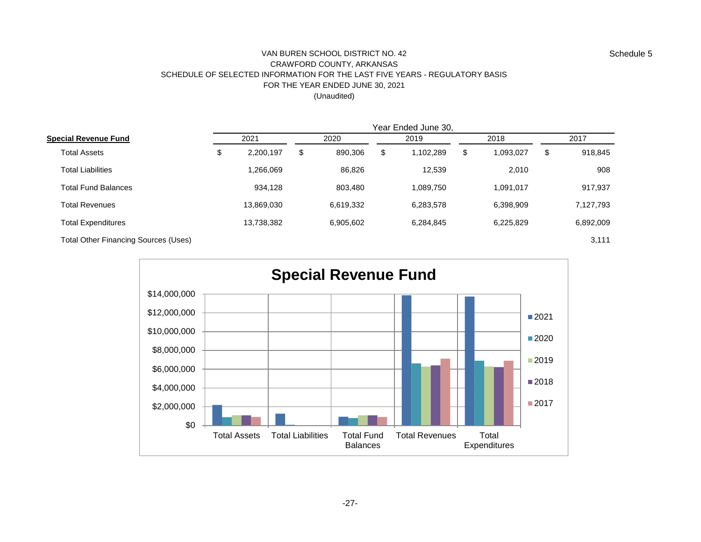# Schedule 5

# VAN BUREN SCHOOL DISTRICT NO. 42 CRAWFORD COUNTY, ARKANSAS SCHEDULE OF SELECTED INFORMATION FOR THE LAST FIVE YEARS - REGULATORY BASIS FOR THE YEAR ENDED JUNE 30, 2021 (Unaudited)

|                                             |   | Year Ended June 30, |    |           |    |           |    |           |    |           |  |  |
|---------------------------------------------|---|---------------------|----|-----------|----|-----------|----|-----------|----|-----------|--|--|
| <b>Special Revenue Fund</b>                 |   | 2021                |    | 2020      |    | 2019      |    | 2018      |    | 2017      |  |  |
| <b>Total Assets</b>                         | Φ | 2,200,197           | \$ | 890,306   | \$ | 1,102,289 | \$ | 1,093,027 | \$ | 918,845   |  |  |
| <b>Total Liabilities</b>                    |   | 1,266,069           |    | 86,826    |    | 12,539    |    | 2,010     |    | 908       |  |  |
| <b>Total Fund Balances</b>                  |   | 934,128             |    | 803,480   |    | 1,089,750 |    | 1,091,017 |    | 917,937   |  |  |
| <b>Total Revenues</b>                       |   | 13,869,030          |    | 6,619,332 |    | 6,283,578 |    | 6,398,909 |    | 7,127,793 |  |  |
| <b>Total Expenditures</b>                   |   | 13,738,382          |    | 6,905,602 |    | 6,284,845 |    | 6,225,829 |    | 6,892,009 |  |  |
| <b>Total Other Financing Sources (Uses)</b> |   |                     |    |           |    |           |    |           |    | 3.111     |  |  |